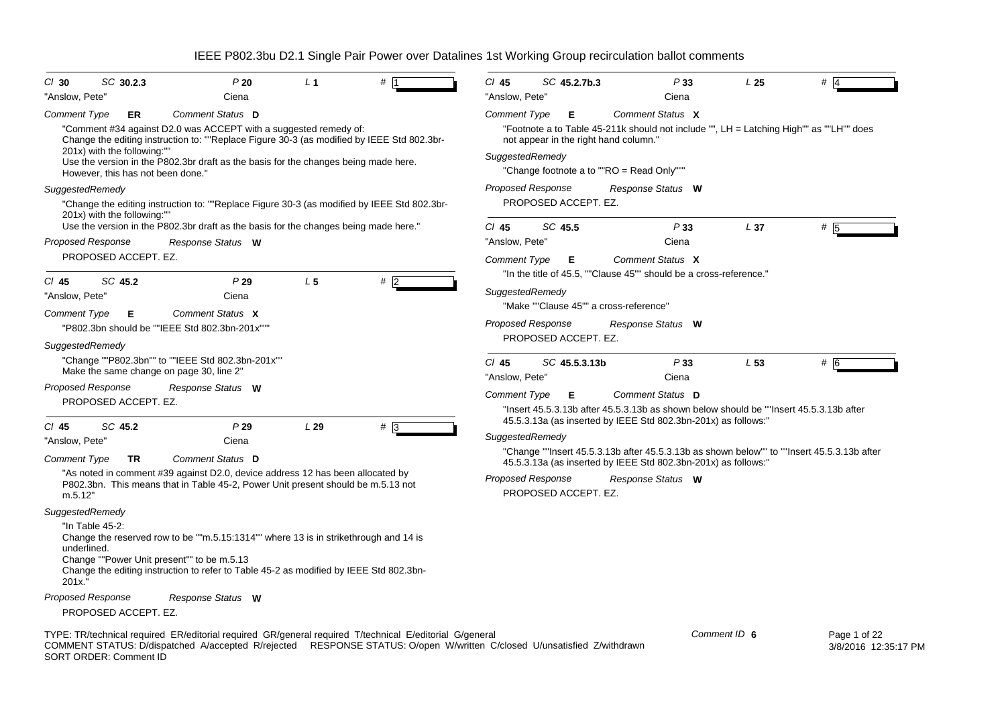| SC 30.2.3<br>$CI$ 30                                                                                                                                                                                                                                                                                                                            | P20                              | L <sub>1</sub> | #            | $Cl$ 45                                          | SC 45.2.7b.3  | P33                                                                                                          | L <sub>25</sub> | #                                                                                          |
|-------------------------------------------------------------------------------------------------------------------------------------------------------------------------------------------------------------------------------------------------------------------------------------------------------------------------------------------------|----------------------------------|----------------|--------------|--------------------------------------------------|---------------|--------------------------------------------------------------------------------------------------------------|-----------------|--------------------------------------------------------------------------------------------|
| "Anslow, Pete"                                                                                                                                                                                                                                                                                                                                  | Ciena                            |                |              | "Anslow, Pete"                                   |               | Ciena                                                                                                        |                 |                                                                                            |
| Comment Type<br>ER<br>"Comment #34 against D2.0 was ACCEPT with a suggested remedy of:<br>Change the editing instruction to: ""Replace Figure 30-3 (as modified by IEEE Std 802.3br-<br>201x) with the following:""<br>Use the version in the P802.3br draft as the basis for the changes being made here.<br>However, this has not been done." | Comment Status D                 |                |              | <b>Comment Type</b><br>SuggestedRemedy           | Е             | Comment Status X<br>not appear in the right hand column."<br>"Change footnote a to ""RO = Read Only"""       |                 | "Footnote a to Table 45-211k should not include "", LH = Latching High"" as ""LH"" does    |
| SuggestedRemedy                                                                                                                                                                                                                                                                                                                                 |                                  |                |              | <b>Proposed Response</b>                         |               | Response Status W                                                                                            |                 |                                                                                            |
| "Change the editing instruction to: ""Replace Figure 30-3 (as modified by IEEE Std 802.3br-<br>201x) with the following:""<br>Use the version in the P802.3br draft as the basis for the changes being made here."                                                                                                                              |                                  |                |              | PROPOSED ACCEPT. EZ.                             |               |                                                                                                              |                 |                                                                                            |
| <b>Proposed Response</b>                                                                                                                                                                                                                                                                                                                        | Response Status W                |                |              | $CI$ 45<br>"Anslow, Pete"                        | SC 45.5       | P33<br>Ciena                                                                                                 | L <sub>37</sub> | # 5                                                                                        |
| PROPOSED ACCEPT. EZ.                                                                                                                                                                                                                                                                                                                            |                                  |                |              | <b>Comment Type</b>                              | Е             | Comment Status X                                                                                             |                 |                                                                                            |
| SC 45.2<br>$CI$ 45<br>"Anslow, Pete"<br>Comment Type<br>Е                                                                                                                                                                                                                                                                                       | P29<br>Ciena<br>Comment Status X | L <sub>5</sub> | #5           | SuggestedRemedy                                  |               | "In the title of 45.5, ""Clause 45"" should be a cross-reference."<br>"Make ""Clause 45"" a cross-reference" |                 |                                                                                            |
| "P802.3bn should be ""IEEE Std 802.3bn-201x"""                                                                                                                                                                                                                                                                                                  |                                  |                |              | <b>Proposed Response</b>                         |               | Response Status W                                                                                            |                 |                                                                                            |
| SuggestedRemedy<br>"Change ""P802.3bn"" to ""IEEE Std 802.3bn-201x""                                                                                                                                                                                                                                                                            |                                  |                |              | PROPOSED ACCEPT. EZ.<br>$Cl$ 45                  | SC 45.5.3.13b | P33                                                                                                          | L <sub>53</sub> | # 6                                                                                        |
| Make the same change on page 30, line 2"<br><b>Proposed Response</b>                                                                                                                                                                                                                                                                            | Response Status W                |                |              | "Anslow, Pete"                                   |               | Ciena                                                                                                        |                 |                                                                                            |
| PROPOSED ACCEPT. EZ.                                                                                                                                                                                                                                                                                                                            |                                  |                |              | <b>Comment Type</b>                              | Е             | Comment Status D<br>"Insert 45.5.3.13b after 45.5.3.13b as shown below should be ""Insert 45.5.3.13b after   |                 |                                                                                            |
| SC 45.2<br>$CI$ 45                                                                                                                                                                                                                                                                                                                              | P29                              | L29            | $# \sqrt{3}$ |                                                  |               | 45.5.3.13a (as inserted by IEEE Std 802.3bn-201x) as follows:"                                               |                 |                                                                                            |
| "Anslow, Pete"                                                                                                                                                                                                                                                                                                                                  | Ciena                            |                |              | SuggestedRemedy                                  |               |                                                                                                              |                 |                                                                                            |
| Comment Type<br>TR                                                                                                                                                                                                                                                                                                                              | Comment Status D                 |                |              |                                                  |               | 45.5.3.13a (as inserted by IEEE Std 802.3bn-201x) as follows:"                                               |                 | "Change ""Insert 45.5.3.13b after 45.5.3.13b as shown below"" to ""Insert 45.5.3.13b after |
| "As noted in comment #39 against D2.0, device address 12 has been allocated by<br>P802.3bn. This means that in Table 45-2, Power Unit present should be m.5.13 not<br>m.5.12"                                                                                                                                                                   |                                  |                |              | <b>Proposed Response</b><br>PROPOSED ACCEPT. EZ. |               | Response Status W                                                                                            |                 |                                                                                            |
| SuggestedRemedy                                                                                                                                                                                                                                                                                                                                 |                                  |                |              |                                                  |               |                                                                                                              |                 |                                                                                            |
| "In Table 45-2:<br>Change the reserved row to be ""m.5.15:1314"" where 13 is in strikethrough and 14 is<br>underlined.<br>Change ""Power Unit present"" to be m.5.13<br>Change the editing instruction to refer to Table 45-2 as modified by IEEE Std 802.3bn-<br>201x.                                                                         |                                  |                |              |                                                  |               |                                                                                                              |                 |                                                                                            |
| <b>Proposed Response</b>                                                                                                                                                                                                                                                                                                                        | Response Status W                |                |              |                                                  |               |                                                                                                              |                 |                                                                                            |
| PROPOSED ACCEPT. EZ.                                                                                                                                                                                                                                                                                                                            |                                  |                |              |                                                  |               |                                                                                                              |                 |                                                                                            |
| TYPE: TR/technical required ER/editorial required GR/general required T/technical E/editorial G/general<br>COMMENT STATUS: D/dispatched A/accepted R/rejected RESPONSE STATUS: O/open W/written C/closed U/unsatisfied Z/withdrawn<br>SORT ORDER: Comment ID                                                                                    |                                  |                |              |                                                  |               |                                                                                                              | Comment ID 6    | Page 1 of 22<br>3/8/2016 12:35:1                                                           |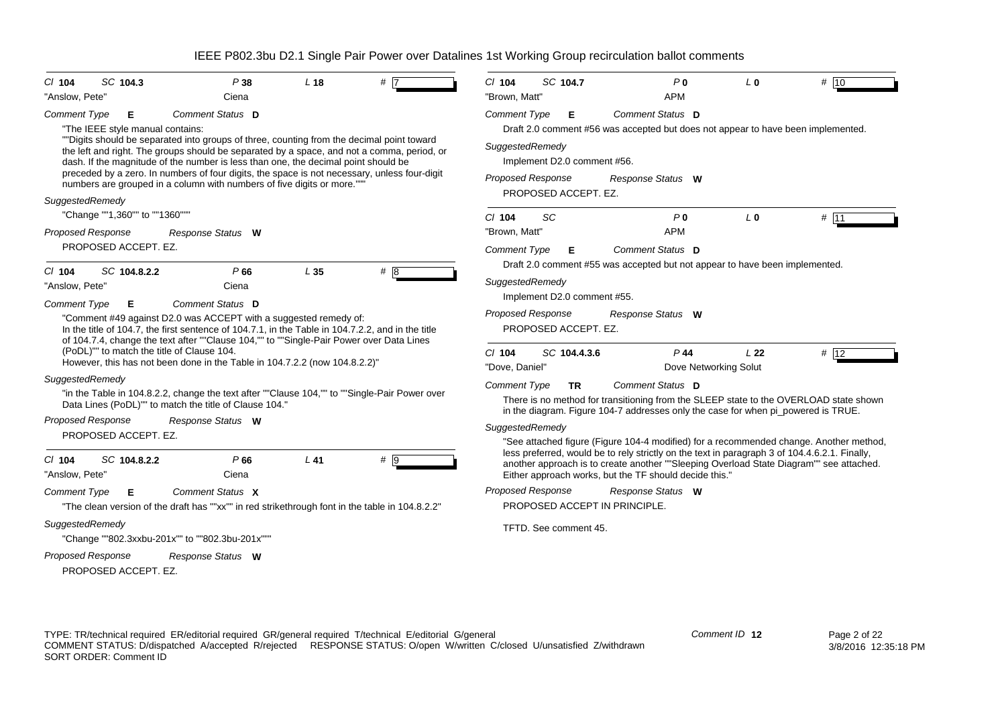| SC 104.3<br>$Cl$ 104<br>"Anslow, Pete"                                                                                                                                                           | P38<br>Ciena                                                                                                                                                                                                                                                                                                                                                                                                                                                                                                                                   | L <sub>18</sub> | $#$ L            | $Cl$ 104<br>SC 104.7<br>"Brown, Matt"                                                                                                                                                                                                                                                                                                                                                                                                                 | P <sub>0</sub><br><b>APM</b>                                             | L <sub>0</sub>  | # $10$            |
|--------------------------------------------------------------------------------------------------------------------------------------------------------------------------------------------------|------------------------------------------------------------------------------------------------------------------------------------------------------------------------------------------------------------------------------------------------------------------------------------------------------------------------------------------------------------------------------------------------------------------------------------------------------------------------------------------------------------------------------------------------|-----------------|------------------|-------------------------------------------------------------------------------------------------------------------------------------------------------------------------------------------------------------------------------------------------------------------------------------------------------------------------------------------------------------------------------------------------------------------------------------------------------|--------------------------------------------------------------------------|-----------------|-------------------|
| <b>Comment Type</b><br>Е<br>"The IEEE style manual contains:                                                                                                                                     | Comment Status D<br>""Digits should be separated into groups of three, counting from the decimal point toward<br>the left and right. The groups should be separated by a space, and not a comma, period, or<br>dash. If the magnitude of the number is less than one, the decimal point should be<br>preceded by a zero. In numbers of four digits, the space is not necessary, unless four-digit                                                                                                                                              |                 |                  | <b>Comment Type</b><br>Е<br>Draft 2.0 comment #56 was accepted but does not appear to have been implemented.<br>SuggestedRemedy<br>Implement D2.0 comment #56.<br><b>Proposed Response</b>                                                                                                                                                                                                                                                            | Comment Status D<br>Response Status W                                    |                 |                   |
| SuggestedRemedy<br>"Change ""1,360"" to ""1360"""                                                                                                                                                | numbers are grouped in a column with numbers of five digits or more.""                                                                                                                                                                                                                                                                                                                                                                                                                                                                         |                 |                  | PROPOSED ACCEPT. EZ.                                                                                                                                                                                                                                                                                                                                                                                                                                  |                                                                          |                 |                   |
| <b>Proposed Response</b><br>PROPOSED ACCEPT. EZ.                                                                                                                                                 | Response Status W                                                                                                                                                                                                                                                                                                                                                                                                                                                                                                                              |                 |                  | SC<br>$Cl$ 104<br>"Brown, Matt"<br><b>Comment Type</b><br>Е                                                                                                                                                                                                                                                                                                                                                                                           | P <sub>0</sub><br><b>APM</b><br>Comment Status D                         | L <sub>0</sub>  | # 11              |
| SC 104.8.2.2<br>$CI$ 104<br>"Anslow, Pete"<br><b>Comment Type</b><br>Е<br>(PoDL)"" to match the title of Clause 104.<br>SuggestedRemedy                                                          | P66<br>Ciena<br>Comment Status D<br>"Comment #49 against D2.0 was ACCEPT with a suggested remedy of:<br>In the title of 104.7, the first sentence of 104.7.1, in the Table in 104.7.2.2, and in the title<br>of 104.7.4, change the text after ""Clause 104,"" to ""Single-Pair Power over Data Lines<br>However, this has not been done in the Table in 104.7.2.2 (now 104.8.2.2)"<br>"in the Table in 104.8.2.2, change the text after ""Clause 104,"" to ""Single-Pair Power over<br>Data Lines (PoDL)"" to match the title of Clause 104." | L <sub>35</sub> | # 8              | Draft 2.0 comment #55 was accepted but not appear to have been implemented.<br>SuggestedRemedy<br>Implement D2.0 comment #55.<br><b>Proposed Response</b><br>PROPOSED ACCEPT. EZ.<br>$Cl$ 104<br>SC 104.4.3.6<br>"Dove. Daniel"<br><b>Comment Type</b><br><b>TR</b><br>There is no method for transitioning from the SLEEP state to the OVERLOAD state shown<br>in the diagram. Figure 104-7 addresses only the case for when pi_powered is TRUE.     | Response Status W<br>$P$ 44<br>Dove Networking Solut<br>Comment Status D | L <sub>22</sub> | # $\overline{12}$ |
| <b>Proposed Response</b><br>PROPOSED ACCEPT. EZ.<br>SC 104.8.2.2<br>$CI$ 104<br>"Anslow, Pete"<br><b>Comment Type</b><br>Е<br>SuggestedRemedy<br>"Change ""802.3xxbu-201x"" to ""802.3bu-201x""" | Response Status W<br>P66<br>Ciena<br>Comment Status X<br>"The clean version of the draft has ""xx"" in red strikethrough font in the table in 104.8.2.2"                                                                                                                                                                                                                                                                                                                                                                                       | $L$ 41          | $# \overline{9}$ | SuggestedRemedy<br>"See attached figure (Figure 104-4 modified) for a recommended change. Another method,<br>less preferred, would be to rely strictly on the text in paragraph 3 of 104.4.6.2.1. Finally,<br>another approach is to create another ""Sleeping Overload State Diagram"" see attached.<br>Either approach works, but the TF should decide this."<br><b>Proposed Response</b><br>PROPOSED ACCEPT IN PRINCIPLE.<br>TFTD. See comment 45. | Response Status W                                                        |                 |                   |
| <b>Proposed Response</b><br>PROPOSED ACCEPT. EZ.                                                                                                                                                 | Response Status W                                                                                                                                                                                                                                                                                                                                                                                                                                                                                                                              |                 |                  |                                                                                                                                                                                                                                                                                                                                                                                                                                                       |                                                                          |                 |                   |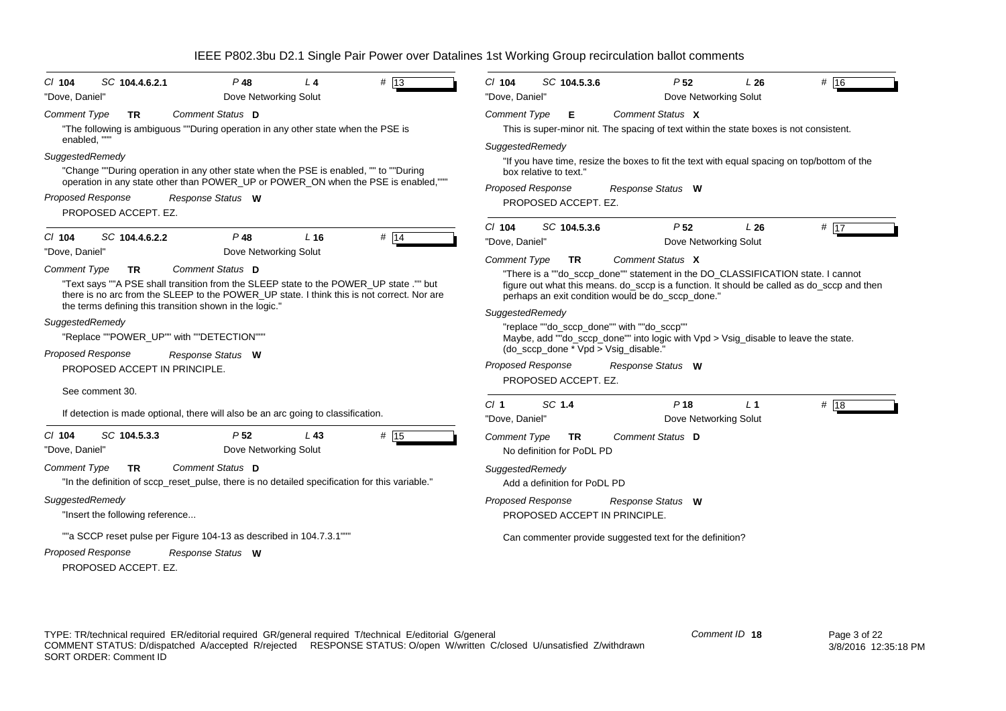| $#$ 13<br>SC 104.4.6.2.1<br>$P$ 48<br>$L$ 4<br>$CI$ 104                                                                                                                                                                                                                                          | SC 104.5.3.6<br>P <sub>52</sub><br># 16<br>$Cl$ 104<br>L26                                                                                                                                                                                                                           |
|--------------------------------------------------------------------------------------------------------------------------------------------------------------------------------------------------------------------------------------------------------------------------------------------------|--------------------------------------------------------------------------------------------------------------------------------------------------------------------------------------------------------------------------------------------------------------------------------------|
| Dove Networking Solut<br>"Dove, Daniel"                                                                                                                                                                                                                                                          | Dove Networking Solut<br>"Dove, Daniel"                                                                                                                                                                                                                                              |
| Comment Status D<br><b>Comment Type</b><br><b>TR</b><br>"The following is ambiguous ""During operation in any other state when the PSE is                                                                                                                                                        | Comment Status X<br><b>Comment Type</b><br>Е<br>This is super-minor nit. The spacing of text within the state boxes is not consistent.                                                                                                                                               |
| enabled, ""<br>SuggestedRemedy                                                                                                                                                                                                                                                                   | SuggestedRemedy<br>"If you have time, resize the boxes to fit the text with equal spacing on top/bottom of the                                                                                                                                                                       |
| "Change ""During operation in any other state when the PSE is enabled, "" to ""During<br>operation in any state other than POWER_UP or POWER_ON when the PSE is enabled,"""                                                                                                                      | box relative to text."<br><b>Proposed Response</b><br>Response Status W                                                                                                                                                                                                              |
| <b>Proposed Response</b><br>Response Status W<br>PROPOSED ACCEPT. EZ.                                                                                                                                                                                                                            | PROPOSED ACCEPT. EZ.                                                                                                                                                                                                                                                                 |
| $P$ 48<br># 14<br>SC 104.4.6.2.2<br>$L$ 16<br>$CI$ 104<br>Dove Networking Solut<br>"Dove, Daniel"                                                                                                                                                                                                | P <sub>52</sub><br>$#$ 17<br>$CI$ 104<br>SC 104.5.3.6<br>L26<br>"Dove, Daniel"<br>Dove Networking Solut                                                                                                                                                                              |
| Comment Status D<br><b>Comment Type</b><br>TR<br>"Text says ""A PSE shall transition from the SLEEP state to the POWER_UP state ."" but<br>there is no arc from the SLEEP to the POWER_UP state. I think this is not correct. Nor are<br>the terms defining this transition shown in the logic.' | Comment Status X<br><b>Comment Type</b><br>TR.<br>"There is a ""do_sccp_done"" statement in the DO_CLASSIFICATION state. I cannot<br>figure out what this means. do_sccp is a function. It should be called as do_sccp and then<br>perhaps an exit condition would be do_sccp_done." |
| SuggestedRemedy<br>"Replace ""POWER_UP"" with ""DETECTION"""<br><b>Proposed Response</b><br>Response Status W                                                                                                                                                                                    | SuggestedRemedy<br>"replace ""do sccp done"" with ""do sccp""<br>Maybe, add ""do_sccp_done"" into logic with Vpd > Vsig_disable to leave the state.<br>(do_sccp_done * Vpd > Vsig_disable.'                                                                                          |
| PROPOSED ACCEPT IN PRINCIPLE.                                                                                                                                                                                                                                                                    | <b>Proposed Response</b><br>Response Status W<br>PROPOSED ACCEPT. EZ.                                                                                                                                                                                                                |
| See comment 30.<br>If detection is made optional, there will also be an arc going to classification.                                                                                                                                                                                             | SC 1.4<br>Cl <sub>1</sub><br>P <sub>18</sub><br># 18<br>L <sub>1</sub><br>Dove Networking Solut<br>"Dove, Daniel"                                                                                                                                                                    |
| SC 104.5.3.3<br>P <sub>52</sub><br># 15<br>$CI$ 104<br>L43<br>Dove Networking Solut<br>"Dove, Daniel"                                                                                                                                                                                            | <b>Comment Status D</b><br><b>Comment Type</b><br><b>TR</b><br>No definition for PoDL PD                                                                                                                                                                                             |
| <b>Comment Type</b><br>Comment Status D<br><b>TR</b><br>"In the definition of sccp_reset_pulse, there is no detailed specification for this variable."                                                                                                                                           | SuggestedRemedy<br>Add a definition for PoDL PD                                                                                                                                                                                                                                      |
| SuggestedRemedy<br>"Insert the following reference                                                                                                                                                                                                                                               | <b>Proposed Response</b><br>Response Status W<br>PROPOSED ACCEPT IN PRINCIPLE.                                                                                                                                                                                                       |
| ""a SCCP reset pulse per Figure 104-13 as described in 104.7.3.1""<br><b>Proposed Response</b><br>Response Status W<br>PROPOSED ACCEPT. EZ.                                                                                                                                                      | Can commenter provide suggested text for the definition?                                                                                                                                                                                                                             |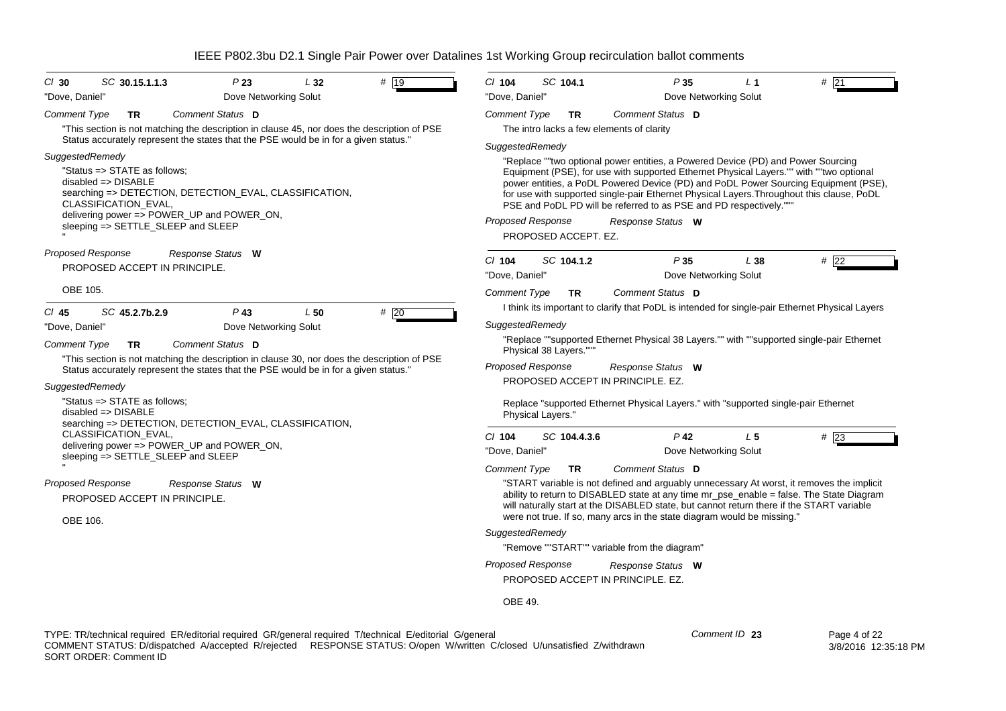| SC 104.1<br>P35<br>$#$ 21<br>$CI$ 104<br>L <sub>1</sub><br>"Dove, Daniel"<br>Dove Networking Solut<br>Comment Status D<br><b>Comment Type</b><br><b>TR</b><br>The intro lacks a few elements of clarity<br>SuggestedRemedy<br>"Replace ""two optional power entities, a Powered Device (PD) and Power Sourcing<br>Equipment (PSE), for use with supported Ethernet Physical Layers."" with ""two optional<br>power entities, a PoDL Powered Device (PD) and PoDL Power Sourcing Equipment (PSE), |
|--------------------------------------------------------------------------------------------------------------------------------------------------------------------------------------------------------------------------------------------------------------------------------------------------------------------------------------------------------------------------------------------------------------------------------------------------------------------------------------------------|
|                                                                                                                                                                                                                                                                                                                                                                                                                                                                                                  |
|                                                                                                                                                                                                                                                                                                                                                                                                                                                                                                  |
|                                                                                                                                                                                                                                                                                                                                                                                                                                                                                                  |
|                                                                                                                                                                                                                                                                                                                                                                                                                                                                                                  |
|                                                                                                                                                                                                                                                                                                                                                                                                                                                                                                  |
| for use with supported single-pair Ethernet Physical Layers. Throughout this clause, PoDL<br>PSE and PoDL PD will be referred to as PSE and PD respectively."""<br><b>Proposed Response</b><br>Response Status W<br>PROPOSED ACCEPT. EZ.                                                                                                                                                                                                                                                         |
| SC 104.1.2<br>P35<br>L38<br>#22<br>$Cl$ 104<br>Dove Networking Solut<br>"Dove, Daniel"                                                                                                                                                                                                                                                                                                                                                                                                           |
| Comment Status D<br><b>Comment Type</b><br><b>TR</b><br>I think its important to clarify that PoDL is intended for single-pair Ethernet Physical Layers                                                                                                                                                                                                                                                                                                                                          |
| SuggestedRemedy                                                                                                                                                                                                                                                                                                                                                                                                                                                                                  |
| "Replace ""supported Ethernet Physical 38 Layers."" with ""supported single-pair Ethernet                                                                                                                                                                                                                                                                                                                                                                                                        |
| Physical 38 Layers."""                                                                                                                                                                                                                                                                                                                                                                                                                                                                           |
| Proposed Response<br>Response Status W                                                                                                                                                                                                                                                                                                                                                                                                                                                           |
| PROPOSED ACCEPT IN PRINCIPLE, EZ.                                                                                                                                                                                                                                                                                                                                                                                                                                                                |
| Replace "supported Ethernet Physical Layers." with "supported single-pair Ethernet<br>Physical Layers."                                                                                                                                                                                                                                                                                                                                                                                          |
| $Cl$ 104<br>SC 104.4.3.6<br>$P$ 42<br>L <sub>5</sub><br>#23                                                                                                                                                                                                                                                                                                                                                                                                                                      |
| "Dove, Daniel"<br>Dove Networking Solut                                                                                                                                                                                                                                                                                                                                                                                                                                                          |
| Comment Status D<br><b>Comment Type</b><br><b>TR</b>                                                                                                                                                                                                                                                                                                                                                                                                                                             |
| "START variable is not defined and arguably unnecessary At worst, it removes the implicit                                                                                                                                                                                                                                                                                                                                                                                                        |
| ability to return to DISABLED state at any time mr_pse_enable = false. The State Diagram<br>will naturally start at the DISABLED state, but cannot return there if the START variable                                                                                                                                                                                                                                                                                                            |
| were not true. If so, many arcs in the state diagram would be missing."                                                                                                                                                                                                                                                                                                                                                                                                                          |
| SuggestedRemedy                                                                                                                                                                                                                                                                                                                                                                                                                                                                                  |
| "Remove ""START"" variable from the diagram"                                                                                                                                                                                                                                                                                                                                                                                                                                                     |
| <b>Proposed Response</b><br>Response Status W                                                                                                                                                                                                                                                                                                                                                                                                                                                    |
| PROPOSED ACCEPT IN PRINCIPLE. EZ.                                                                                                                                                                                                                                                                                                                                                                                                                                                                |
|                                                                                                                                                                                                                                                                                                                                                                                                                                                                                                  |
|                                                                                                                                                                                                                                                                                                                                                                                                                                                                                                  |

TYPE: TR/technical required ER/editorial required GR/general required T/technical E/editorial G/general COMMENT STATUS: D/dispatched A/accepted R/rejected RESPONSE STATUS: O/open W/written C/closed U/unsatisfied Z/withdrawn SORT ORDER: Comment ID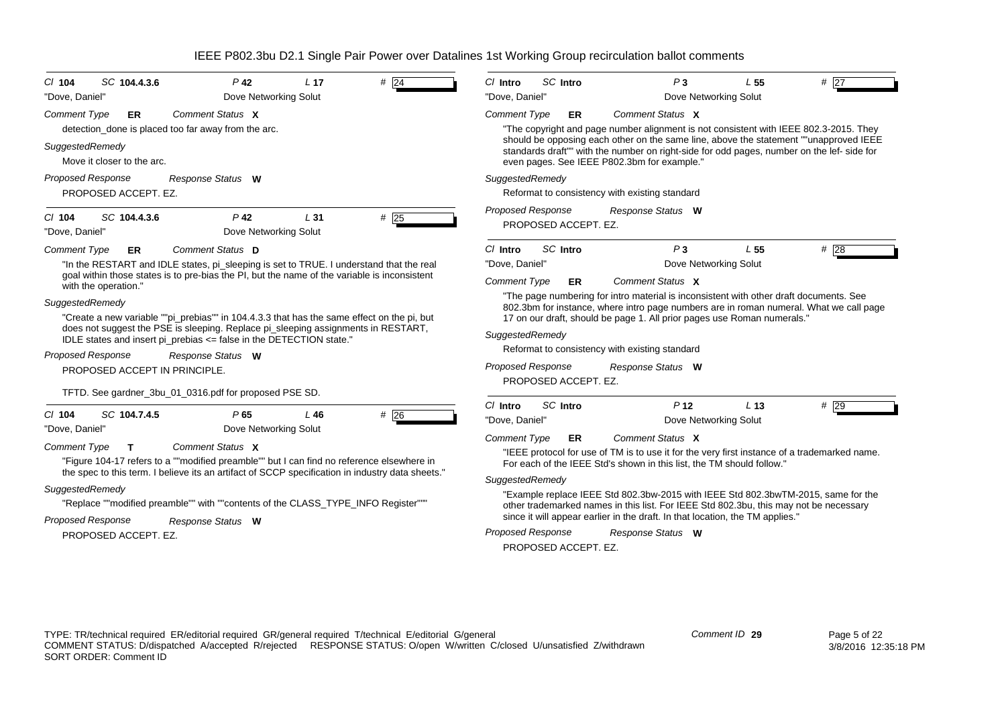| SC 104.4.3.6<br>$CI$ 104                                                                                                                      | $P$ 42                                                                                                                                                                                                                                                                                                                                                                                                                                                                                                                           | L <sub>17</sub> | # $\overline{24}$ | $Cl$ Intro                                                                                         | SC Intro                               | P <sub>3</sub>                                                                                                                                                                                                                                                                                                                                                                                                                                                                                                            | L 55            | #27    |
|-----------------------------------------------------------------------------------------------------------------------------------------------|----------------------------------------------------------------------------------------------------------------------------------------------------------------------------------------------------------------------------------------------------------------------------------------------------------------------------------------------------------------------------------------------------------------------------------------------------------------------------------------------------------------------------------|-----------------|-------------------|----------------------------------------------------------------------------------------------------|----------------------------------------|---------------------------------------------------------------------------------------------------------------------------------------------------------------------------------------------------------------------------------------------------------------------------------------------------------------------------------------------------------------------------------------------------------------------------------------------------------------------------------------------------------------------------|-----------------|--------|
| "Dove, Daniel"                                                                                                                                | Dove Networking Solut                                                                                                                                                                                                                                                                                                                                                                                                                                                                                                            |                 |                   | "Dove, Daniel"                                                                                     |                                        | Dove Networking Solut                                                                                                                                                                                                                                                                                                                                                                                                                                                                                                     |                 |        |
| <b>Comment Type</b><br>ER.                                                                                                                    | Comment Status X<br>detection done is placed too far away from the arc.                                                                                                                                                                                                                                                                                                                                                                                                                                                          |                 |                   | <b>Comment Type</b>                                                                                | ER                                     | Comment Status X<br>"The copyright and page number alignment is not consistent with IEEE 802.3-2015. They                                                                                                                                                                                                                                                                                                                                                                                                                 |                 |        |
| SuggestedRemedy<br>Move it closer to the arc.                                                                                                 |                                                                                                                                                                                                                                                                                                                                                                                                                                                                                                                                  |                 |                   |                                                                                                    |                                        | should be opposing each other on the same line, above the statement ""unapproved IEEE<br>standards draft"" with the number on right-side for odd pages, number on the lef- side for<br>even pages. See IEEE P802.3bm for example."                                                                                                                                                                                                                                                                                        |                 |        |
| <b>Proposed Response</b><br>PROPOSED ACCEPT. EZ.                                                                                              | Response Status W                                                                                                                                                                                                                                                                                                                                                                                                                                                                                                                |                 |                   | SuggestedRemedy                                                                                    |                                        | Reformat to consistency with existing standard                                                                                                                                                                                                                                                                                                                                                                                                                                                                            |                 |        |
| SC 104.4.3.6<br>$Cl$ 104<br>"Dove, Daniel"                                                                                                    | P <sub>42</sub><br>Dove Networking Solut                                                                                                                                                                                                                                                                                                                                                                                                                                                                                         | L <sub>31</sub> | $#$ 25            | <b>Proposed Response</b>                                                                           | PROPOSED ACCEPT. EZ.                   | Response Status W                                                                                                                                                                                                                                                                                                                                                                                                                                                                                                         |                 |        |
| Comment Type<br>ER                                                                                                                            | Comment Status D                                                                                                                                                                                                                                                                                                                                                                                                                                                                                                                 |                 |                   | $Cl$ Intro                                                                                         | SC Intro                               | P <sub>3</sub>                                                                                                                                                                                                                                                                                                                                                                                                                                                                                                            | L <sub>55</sub> | # 28   |
| with the operation."<br>SuggestedRemedy<br>Proposed Response<br>PROPOSED ACCEPT IN PRINCIPLE.                                                 | "In the RESTART and IDLE states, pi_sleeping is set to TRUE. I understand that the real<br>goal within those states is to pre-bias the PI, but the name of the variable is inconsistent<br>"Create a new variable ""pi_prebias"" in 104.4.3.3 that has the same effect on the pi, but<br>does not suggest the PSE is sleeping. Replace pi_sleeping assignments in RESTART,<br>IDLE states and insert pi_prebias <= false in the DETECTION state."<br>Response Status W<br>TFTD. See gardner_3bu_01_0316.pdf for proposed PSE SD. |                 |                   | "Dove. Daniel"<br><b>Comment Type</b><br>SuggestedRemedy<br><b>Proposed Response</b>               | <b>ER</b><br>PROPOSED ACCEPT. EZ.      | Dove Networking Solut<br>Comment Status X<br>"The page numbering for intro material is inconsistent with other draft documents. See<br>802.3bm for instance, where intro page numbers are in roman numeral. What we call page<br>17 on our draft, should be page 1. All prior pages use Roman numerals."<br>Reformat to consistency with existing standard<br>Response Status W                                                                                                                                           |                 |        |
| SC 104.7.4.5<br>$Cl$ 104<br>"Dove, Daniel"<br><b>Comment Type</b><br>T<br>SuggestedRemedy<br><b>Proposed Response</b><br>PROPOSED ACCEPT. EZ. | P65<br>Dove Networking Solut<br>Comment Status X<br>"Figure 104-17 refers to a ""modified preamble"" but I can find no reference elsewhere in<br>the spec to this term. I believe its an artifact of SCCP specification in industry data sheets."<br>"Replace ""modified preamble"" with ""contents of the CLASS TYPE INFO Register"""<br>Response Status W                                                                                                                                                                      | L46             | $#$ 26            | $Cl$ Intro<br>"Dove. Daniel"<br><b>Comment Type</b><br>SuggestedRemedy<br><b>Proposed Response</b> | SC Intro<br>ER<br>PROPOSED ACCEPT. EZ. | P <sub>12</sub><br>Dove Networking Solut<br>Comment Status X<br>"IEEE protocol for use of TM is to use it for the very first instance of a trademarked name.<br>For each of the IEEE Std's shown in this list, the TM should follow."<br>"Example replace IEEE Std 802.3bw-2015 with IEEE Std 802.3bwTM-2015, same for the<br>other trademarked names in this list. For IEEE Std 802.3bu, this may not be necessary<br>since it will appear earlier in the draft. In that location, the TM applies."<br>Response Status W | L <sub>13</sub> | $#$ 29 |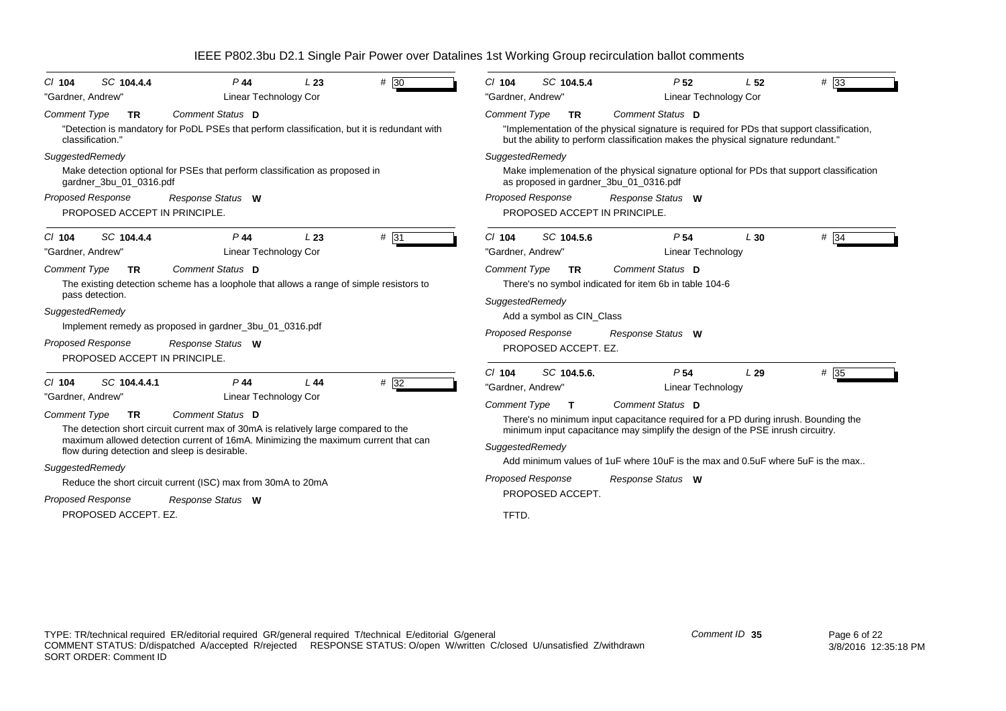| SC 104.4.4<br>$CI$ 104<br>"Gardner, Andrew"                                                                                                                                                        | P 44<br>Linear Technology Cor                                                                                                                                                                                                                                                                                         | L23 | $#$ 30 | $Cl$ 104<br>"Gardner, Andrew"                                                                                                                            | SC 104.5.4                  | P <sub>52</sub><br><b>Linear Technology Cor</b>                                                                                                                                                                                                                                                                                                | L <sub>52</sub> | $#$ 33            |  |
|----------------------------------------------------------------------------------------------------------------------------------------------------------------------------------------------------|-----------------------------------------------------------------------------------------------------------------------------------------------------------------------------------------------------------------------------------------------------------------------------------------------------------------------|-----|--------|----------------------------------------------------------------------------------------------------------------------------------------------------------|-----------------------------|------------------------------------------------------------------------------------------------------------------------------------------------------------------------------------------------------------------------------------------------------------------------------------------------------------------------------------------------|-----------------|-------------------|--|
| <b>Comment Type</b><br><b>TR</b><br>classification."                                                                                                                                               | Comment Status D<br>"Detection is mandatory for PoDL PSEs that perform classification, but it is redundant with                                                                                                                                                                                                       |     |        | <b>Comment Type</b>                                                                                                                                      | <b>TR</b>                   | Comment Status D<br>"Implementation of the physical signature is required for PDs that support classification,<br>but the ability to perform classification makes the physical signature redundant."                                                                                                                                           |                 |                   |  |
| SuggestedRemedy<br>gardner_3bu_01_0316.pdf<br><b>Proposed Response</b><br>PROPOSED ACCEPT IN PRINCIPLE.                                                                                            | Make detection optional for PSEs that perform classification as proposed in<br>Response Status W                                                                                                                                                                                                                      |     |        | SuggestedRemedy<br><b>Proposed Response</b><br>PROPOSED ACCEPT IN PRINCIPLE.                                                                             |                             | Make implemenation of the physical signature optional for PDs that support classification<br>as proposed in gardner_3bu_01_0316.pdf<br>Response Status W                                                                                                                                                                                       |                 |                   |  |
| SC 104.4.4<br>C/ 104<br>"Gardner, Andrew"<br><b>Comment Type</b><br><b>TR</b><br>pass detection.<br>SuggestedRemedy<br><b>Proposed Response</b><br>PROPOSED ACCEPT IN PRINCIPLE.                   | $P$ 44<br>Linear Technology Cor<br>Comment Status D<br>The existing detection scheme has a loophole that allows a range of simple resistors to<br>Implement remedy as proposed in gardner_3bu_01_0316.pdf<br>Response Status W                                                                                        | L23 | # 31   | $Cl$ 104<br>"Gardner, Andrew"<br><b>Comment Type</b><br>SuggestedRemedy<br>Add a symbol as CIN Class<br><b>Proposed Response</b><br>PROPOSED ACCEPT. EZ. | SC 104.5.6<br><b>TR</b>     | P <sub>54</sub><br>Linear Technology<br>Comment Status D<br>There's no symbol indicated for item 6b in table 104-6<br>Response Status W                                                                                                                                                                                                        | L30             | $#$ 34            |  |
| SC 104.4.4.1<br>$CI$ 104<br>"Gardner, Andrew"<br>Comment Type<br><b>TR</b><br>flow during detection and sleep is desirable.<br>SuggestedRemedy<br><b>Proposed Response</b><br>PROPOSED ACCEPT. EZ. | $P$ 44<br>Linear Technology Cor<br>Comment Status D<br>The detection short circuit current max of 30mA is relatively large compared to the<br>maximum allowed detection current of 16mA. Minimizing the maximum current that can<br>Reduce the short circuit current (ISC) max from 30mA to 20mA<br>Response Status W | L44 | #32    | $CI$ 104<br>"Gardner, Andrew"<br><b>Comment Type</b><br>SuggestedRemedy<br>Proposed Response<br>PROPOSED ACCEPT.<br>TFTD.                                | SC 104.5.6.<br>$\mathbf{T}$ | P <sub>54</sub><br><b>Linear Technology</b><br>Comment Status D<br>There's no minimum input capacitance required for a PD during inrush. Bounding the<br>minimum input capacitance may simplify the design of the PSE inrush circuitry.<br>Add minimum values of 1uF where 10uF is the max and 0.5uF where 5uF is the max<br>Response Status W | L29             | $# \overline{35}$ |  |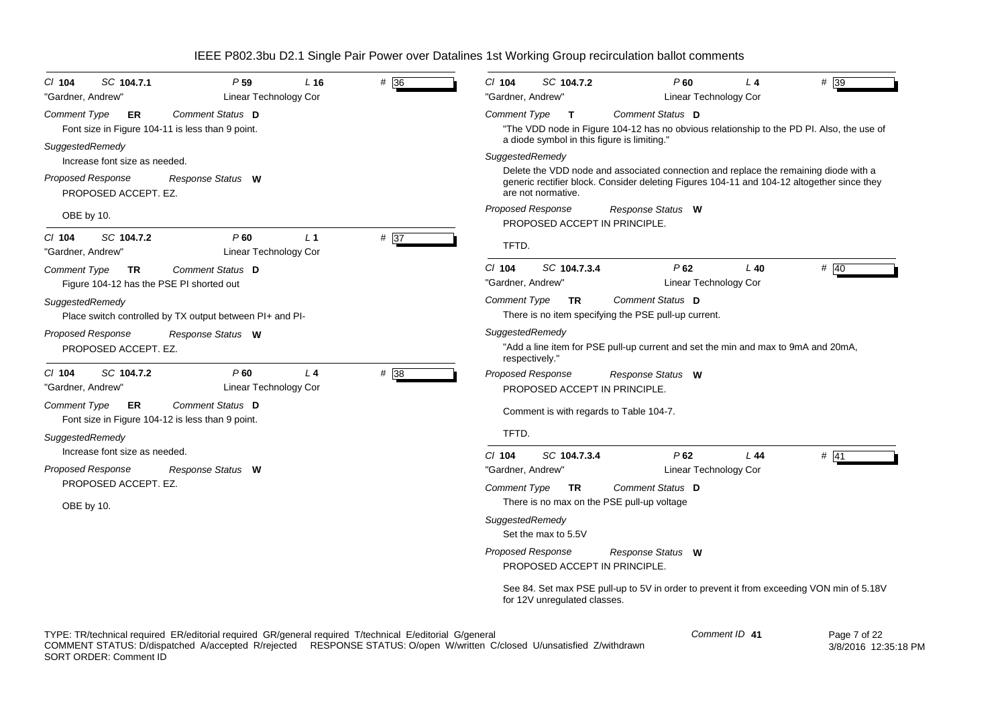| P <sub>59</sub><br># 36<br>SC 104.7.1<br>$CI$ 104<br>$L_{16}$<br>"Gardner, Andrew"<br><b>Linear Technology Cor</b> | # 39<br>$CI$ 104<br>SC 104.7.2<br>P60<br>$L_4$<br>"Gardner, Andrew"<br>Linear Technology Cor                                                                                                                                |
|--------------------------------------------------------------------------------------------------------------------|-----------------------------------------------------------------------------------------------------------------------------------------------------------------------------------------------------------------------------|
| Comment Status D<br>Comment Type<br>ER<br>Font size in Figure 104-11 is less than 9 point.                         | Comment Type<br>Comment Status D<br>$\mathbf{T}$<br>"The VDD node in Figure 104-12 has no obvious relationship to the PD PI. Also, the use of<br>a diode symbol in this figure is limiting."                                |
| SuggestedRemedy<br>Increase font size as needed.<br>Proposed Response<br>Response Status W<br>PROPOSED ACCEPT. EZ. | SuggestedRemedy<br>Delete the VDD node and associated connection and replace the remaining diode with a<br>generic rectifier block. Consider deleting Figures 104-11 and 104-12 altogether since they<br>are not normative. |
| OBE by 10.                                                                                                         | <b>Proposed Response</b><br>Response Status W<br>PROPOSED ACCEPT IN PRINCIPLE.                                                                                                                                              |
| # 37<br>SC 104.7.2<br>P60<br>L <sub>1</sub><br>CI 104<br>Linear Technology Cor<br>"Gardner, Andrew"                | TFTD.                                                                                                                                                                                                                       |
| Comment Type<br>Comment Status D<br>TR.<br>Figure 104-12 has the PSE PI shorted out                                | # $40$<br>$Cl$ 104<br>SC 104.7.3.4<br>P62<br>$L$ 40<br>"Gardner, Andrew"<br>Linear Technology Cor                                                                                                                           |
| SuggestedRemedy<br>Place switch controlled by TX output between PI+ and PI-                                        | Comment Status D<br>Comment Type<br><b>TR</b><br>There is no item specifying the PSE pull-up current.                                                                                                                       |
| Proposed Response<br>Response Status W<br>PROPOSED ACCEPT. EZ.                                                     | SuggestedRemedy<br>"Add a line item for PSE pull-up current and set the min and max to 9mA and 20mA,<br>respectively.'                                                                                                      |
| P60<br>$# \overline{38}$<br>SC 104.7.2<br>$\perp$ 4<br>C/ 104<br>"Gardner, Andrew"<br>Linear Technology Cor        | Proposed Response<br>Response Status W<br>PROPOSED ACCEPT IN PRINCIPLE.                                                                                                                                                     |
| <b>Comment Type</b><br>Comment Status D<br>ER<br>Font size in Figure 104-12 is less than 9 point.                  | Comment is with regards to Table 104-7.                                                                                                                                                                                     |
| SuggestedRemedy<br>Increase font size as needed.                                                                   | TFTD.<br>$Cl$ 104<br>SC 104.7.3.4<br>P62<br>L44<br># $\overline{41}$                                                                                                                                                        |
| <b>Proposed Response</b><br>Response Status W<br>PROPOSED ACCEPT. EZ.                                              | Linear Technology Cor<br>"Gardner, Andrew"<br>Comment Status D<br>Comment Type<br><b>TR</b><br>There is no max on the PSE pull-up voltage                                                                                   |
| OBE by 10.                                                                                                         | SuggestedRemedy<br>Set the max to 5.5V                                                                                                                                                                                      |
|                                                                                                                    | Proposed Response<br>Response Status W<br>PROPOSED ACCEPT IN PRINCIPLE.                                                                                                                                                     |
|                                                                                                                    | See 84. Set max PSE pull-up to 5V in order to prevent it from exceeding VON min of 5.18V<br>for 12V unregulated classes.                                                                                                    |

| Comment ID 41 | Page |
|---------------|------|
|               |      |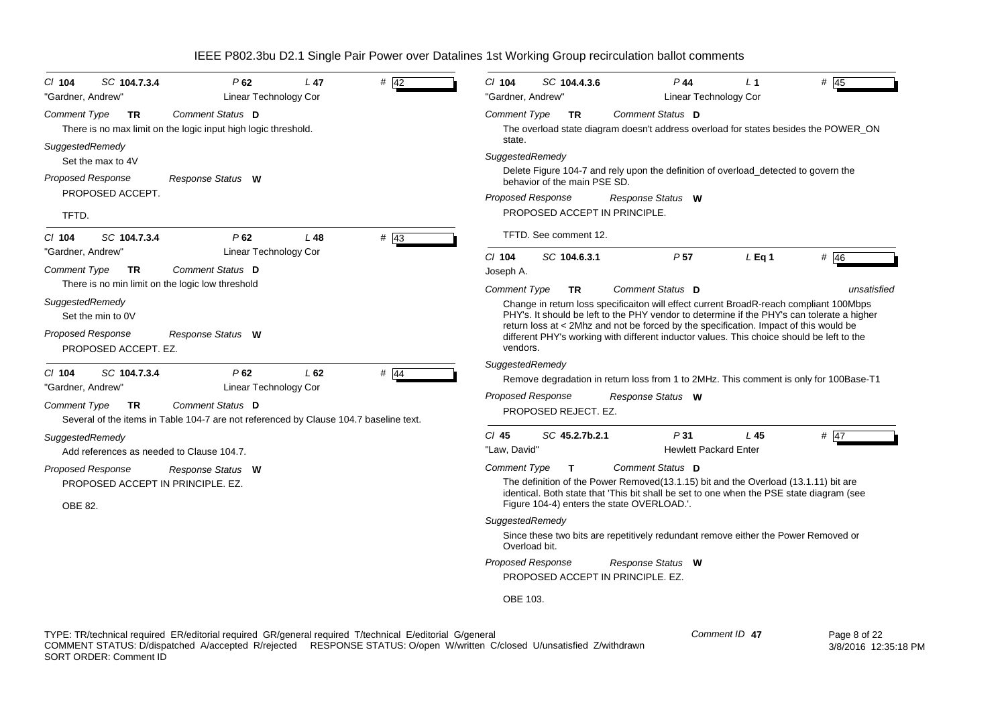| SC 104.7.3.4<br>$CI$ 104<br>"Gardner, Andrew"                                                                                                | P62<br>Linear Technology Cor                                                                                                                     | L 47 | # 42   | $Cl$ 104<br>"Gardner, Andrew"   | SC 104.4.3.6                                                                              | $P$ 44<br>Linear Technology Cor                                                                                                                                                                                                                                                                                                                                                                | L <sub>1</sub> | $#$ 45      |
|----------------------------------------------------------------------------------------------------------------------------------------------|--------------------------------------------------------------------------------------------------------------------------------------------------|------|--------|---------------------------------|-------------------------------------------------------------------------------------------|------------------------------------------------------------------------------------------------------------------------------------------------------------------------------------------------------------------------------------------------------------------------------------------------------------------------------------------------------------------------------------------------|----------------|-------------|
| Comment Type<br><b>TR</b>                                                                                                                    | Comment Status D<br>There is no max limit on the logic input high logic threshold.                                                               |      |        | <b>Comment Type</b><br>state.   | <b>TR</b>                                                                                 | Comment Status D<br>The overload state diagram doesn't address overload for states besides the POWER_ON                                                                                                                                                                                                                                                                                        |                |             |
| SuggestedRemedy<br>Set the max to 4V                                                                                                         |                                                                                                                                                  |      |        | SuggestedRemedy                 |                                                                                           | Delete Figure 104-7 and rely upon the definition of overload_detected to govern the                                                                                                                                                                                                                                                                                                            |                |             |
| Proposed Response<br>PROPOSED ACCEPT.<br>TFTD.                                                                                               | Response Status W                                                                                                                                |      |        |                                 | behavior of the main PSE SD.<br><b>Proposed Response</b><br>PROPOSED ACCEPT IN PRINCIPLE. | Response Status W                                                                                                                                                                                                                                                                                                                                                                              |                |             |
| SC 104.7.3.4<br>$Cl$ 104                                                                                                                     | P62                                                                                                                                              | L48  | $#$ 43 |                                 | TFTD. See comment 12.                                                                     |                                                                                                                                                                                                                                                                                                                                                                                                |                |             |
| "Gardner, Andrew"<br>Comment Type<br><b>TR</b>                                                                                               | Linear Technology Cor<br>Comment Status D                                                                                                        |      |        | $Cl$ 104<br>Joseph A.           | SC 104.6.3.1                                                                              | P <sub>57</sub>                                                                                                                                                                                                                                                                                                                                                                                | $L$ Eq 1       | # $46$      |
| There is no min limit on the logic low threshold<br>SuggestedRemedy<br>Set the min to 0V<br><b>Proposed Response</b><br>PROPOSED ACCEPT. EZ. | Response Status W                                                                                                                                |      |        | <b>Comment Type</b><br>vendors. | TR                                                                                        | Comment Status D<br>Change in return loss specificaiton will effect current BroadR-reach compliant 100Mbps<br>PHY's. It should be left to the PHY vendor to determine if the PHY's can tolerate a higher<br>return loss at < 2Mhz and not be forced by the specification. Impact of this would be<br>different PHY's working with different inductor values. This choice should be left to the |                | unsatisfied |
| SC 104.7.3.4<br>CI 104<br>"Gardner, Andrew"<br><b>Comment Type</b><br><b>TR</b>                                                              | P62<br>Linear Technology Cor<br><b>Comment Status</b> D<br>Several of the items in Table 104-7 are not referenced by Clause 104.7 baseline text. | L62  | # $44$ | SuggestedRemedy                 | <b>Proposed Response</b><br>PROPOSED REJECT. EZ.                                          | Remove degradation in return loss from 1 to 2MHz. This comment is only for 100Base-T1<br>Response Status W                                                                                                                                                                                                                                                                                     |                |             |
| SuggestedRemedy<br>Add references as needed to Clause 104.7.                                                                                 |                                                                                                                                                  |      |        | $Cl$ 45<br>"Law, David'         | SC 45.2.7b.2.1                                                                            | P31<br><b>Hewlett Packard Enter</b>                                                                                                                                                                                                                                                                                                                                                            | L 45           | # $ 47$     |
| <b>Proposed Response</b><br>PROPOSED ACCEPT IN PRINCIPLE, EZ.<br><b>OBE 82.</b>                                                              | Response Status W                                                                                                                                |      |        | <b>Comment Type</b>             | T                                                                                         | Comment Status D<br>The definition of the Power Removed (13.1.15) bit and the Overload (13.1.11) bit are<br>identical. Both state that 'This bit shall be set to one when the PSE state diagram (see<br>Figure 104-4) enters the state OVERLOAD.'.                                                                                                                                             |                |             |
|                                                                                                                                              |                                                                                                                                                  |      |        | SuggestedRemedy                 | Overload bit.                                                                             | Since these two bits are repetitively redundant remove either the Power Removed or                                                                                                                                                                                                                                                                                                             |                |             |
|                                                                                                                                              |                                                                                                                                                  |      |        | <b>Proposed Response</b>        | PROPOSED ACCEPT IN PRINCIPLE. EZ.                                                         | Response Status W                                                                                                                                                                                                                                                                                                                                                                              |                |             |
|                                                                                                                                              |                                                                                                                                                  |      |        | OBE 103.                        |                                                                                           |                                                                                                                                                                                                                                                                                                                                                                                                |                |             |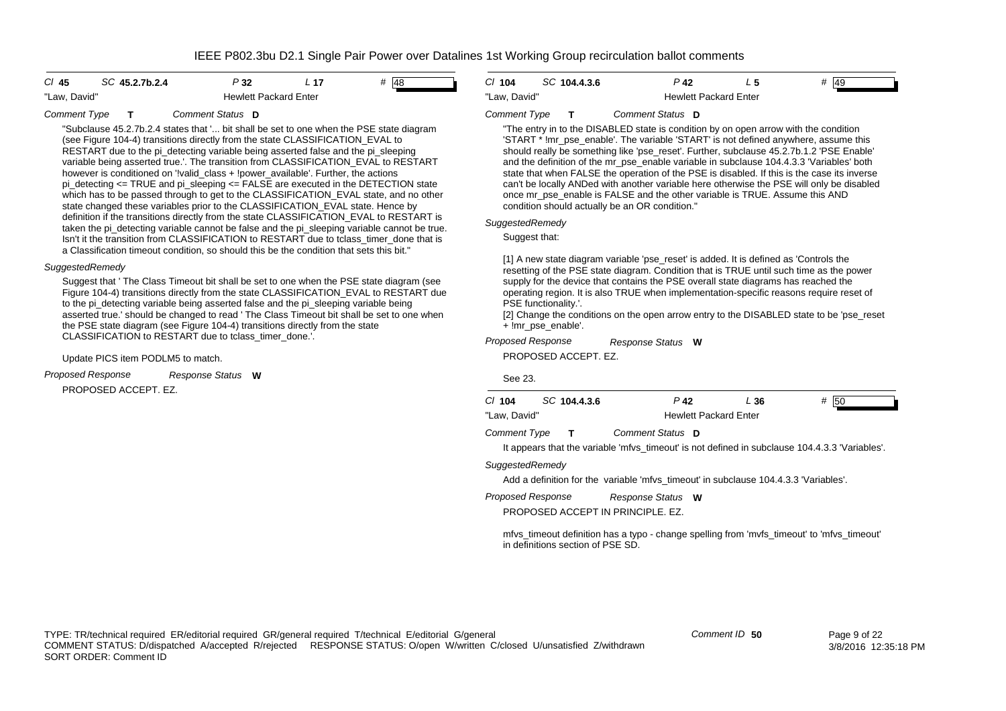| $CI$ 45      | SC 45.2.7b.2.4 | P 32                         | L 17 | # $ 48$ |
|--------------|----------------|------------------------------|------|---------|
| "Law. David" |                | <b>Hewlett Packard Enter</b> |      |         |

#### *Comment Type* **T***Comment Status***D**

"Subclause 45.2.7b.2.4 states that '... bit shall be set to one when the PSE state diagram (see Figure 104-4) transitions directly from the state CLASSIFICATION\_EVAL to RESTART due to the pi\_detecting variable being asserted false and the pi\_sleeping variable being asserted true.'. The transition from CLASSIFICATION\_EVAL to RESTART however is conditioned on '!valid\_class + !power\_available'. Further, the actions pi\_detecting  $\le$  TRUE and pi\_sleeping  $\le$  FALSE are executed in the DETECTION state which has to be passed through to get to the CLASSIFICATION EVAL state, and no other state changed these variables prior to the CLASSIFICATION\_EVAL state. Hence by definition if the transitions directly from the state CLASSIFICATION\_EVAL to RESTART is taken the pi\_detecting variable cannot be false and the pi\_sleeping variable cannot be true. Isn't it the transition from CLASSIFICATION to RESTART due to tclass\_timer\_done that is a Classification timeout condition, so should this be the condition that sets this bit."

### *SuggestedRemedy*

Suggest that ' The Class Timeout bit shall be set to one when the PSE state diagram (see Figure 104-4) transitions directly from the state CLASSIFICATION\_EVAL to RESTART due to the pi\_detecting variable being asserted false and the pi\_sleeping variable being asserted true.' should be changed to read ' The Class Timeout bit shall be set to one when the PSE state diagram (see Figure 104-4) transitions directly from the state CLASSIFICATION to RESTART due to tclass\_timer\_done.'.

### Update PICS item PODLM5 to match.

*Proposed Response Response Status* **W**

PROPOSED ACCEPT. EZ.

| $Cl$ 104     | SC 104.4.3.6 | P 42                         | # 49 |
|--------------|--------------|------------------------------|------|
| "Law. David" |              | <b>Hewlett Packard Enter</b> |      |

#### *Comment Type* **T***Comment Status***D**

"The entry in to the DISABLED state is condition by on open arrow with the condition 'START \* !mr\_pse\_enable'. The variable 'START' is not defined anywhere, assume this should really be something like 'pse\_reset'. Further, subclause 45.2.7b.1.2 'PSE Enable' and the definition of the mr\_pse\_enable variable in subclause 104.4.3.3 'Variables' both state that when FALSE the operation of the PSE is disabled. If this is the case its inverse can't be locally ANDed with another variable here otherwise the PSE will only be disabled once mr\_pse\_enable is FALSE and the other variable is TRUE. Assume this AND condition should actually be an OR condition."

## *SuggestedRemedy*

Suggest that:

[1] A new state diagram variable 'pse\_reset' is added. It is defined as 'Controls the resetting of the PSE state diagram. Condition that is TRUE until such time as the power supply for the device that contains the PSE overall state diagrams has reached the operating region. It is also TRUE when implementation-specific reasons require reset of PSE functionality.'.

[2] Change the conditions on the open arrow entry to the DISABLED state to be 'pse\_reset + !mr\_pse\_enable'.

*Proposed Response* PROPOSED ACCEPT. EZ. *Response Status* **W**

See 23.

| $Cl$ 104       |  | SC 104.4.3.6 | P 42                                                                                           | L 36 | # 50 |  |
|----------------|--|--------------|------------------------------------------------------------------------------------------------|------|------|--|
| "Law. David"   |  |              | <b>Hewlett Packard Enter</b>                                                                   |      |      |  |
| Comment Type T |  |              | Comment Status D                                                                               |      |      |  |
|                |  |              | It appears that the variable 'mfvs timeout' is not defined in subclause 104.4.3.3 'Variables'. |      |      |  |

*SuggestedRemedy*

Add a definition for the variable 'mfvs\_timeout' in subclause 104.4.3.3 'Variables'.

*Proposed Response Response Status* **W**

PROPOSED ACCEPT IN PRINCIPLE. EZ.

mfvs\_timeout definition has a typo - change spelling from 'mvfs\_timeout' to 'mfvs\_timeout' in definitions section of PSE SD.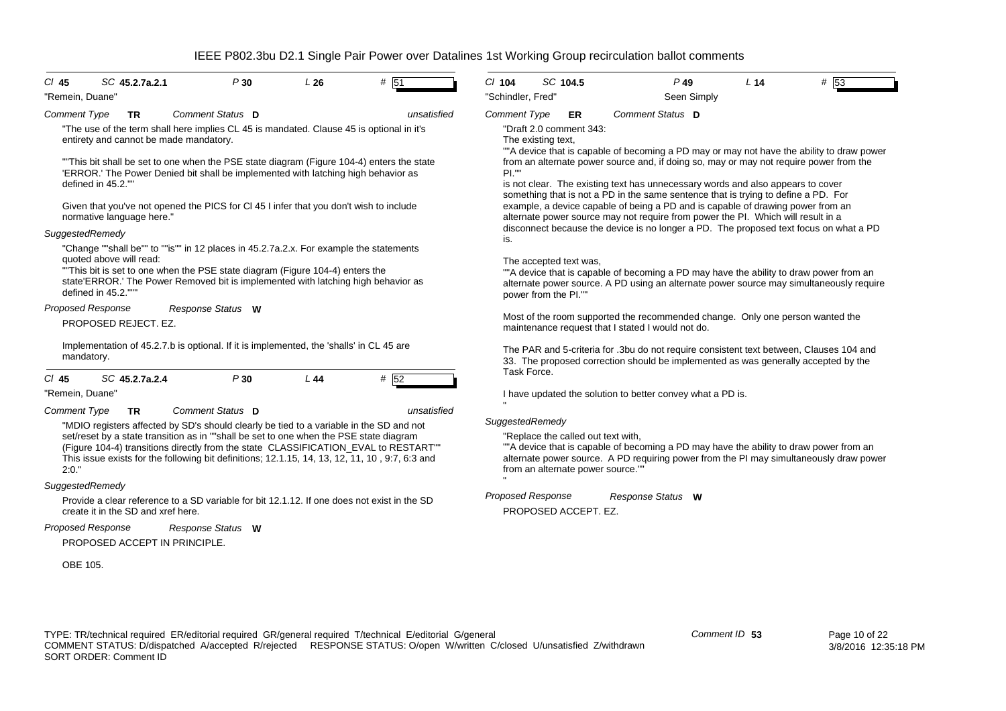| $CI$ 45<br>"Remein, Duane"           |                   | SC 45.2.7a.2.1                                                      | P30               | L26                                                                                     | # 51                                                                                                                                                                                                                                                                                                                                                                                      | $Cl$ 104<br>"Schindler, Fred" |                      | SC 104.5                                                                | $P$ 49<br>Seen Simply                                                                                                                                                                                                                                                                                                                                                                                                                                                                                                                                                                                                        | L <sub>14</sub> | # 53 |
|--------------------------------------|-------------------|---------------------------------------------------------------------|-------------------|-----------------------------------------------------------------------------------------|-------------------------------------------------------------------------------------------------------------------------------------------------------------------------------------------------------------------------------------------------------------------------------------------------------------------------------------------------------------------------------------------|-------------------------------|----------------------|-------------------------------------------------------------------------|------------------------------------------------------------------------------------------------------------------------------------------------------------------------------------------------------------------------------------------------------------------------------------------------------------------------------------------------------------------------------------------------------------------------------------------------------------------------------------------------------------------------------------------------------------------------------------------------------------------------------|-----------------|------|
| <b>Comment Type</b>                  |                   | TR.                                                                 | Comment Status D  |                                                                                         | unsatisfied                                                                                                                                                                                                                                                                                                                                                                               | <b>Comment Type</b>           |                      | ER                                                                      | Comment Status D                                                                                                                                                                                                                                                                                                                                                                                                                                                                                                                                                                                                             |                 |      |
| SuggestedRemedy                      | defined in 45.2." | entirety and cannot be made mandatory.<br>normative language here." |                   | Given that you've not opened the PICS for CI 45 I infer that you don't wish to include  | "The use of the term shall here implies CL 45 is mandated. Clause 45 is optional in it's<br>"This bit shall be set to one when the PSE state diagram (Figure 104-4) enters the state<br>'ERROR.' The Power Denied bit shall be implemented with latching high behavior as<br>"Change ""shall be"" to ""is"" in 12 places in 45.2.7a.2.x. For example the statements                       | PL'''<br>is.                  | The existing text,   | "Draft 2.0 comment 343:                                                 | ""A device that is capable of becoming a PD may or may not have the ability to draw power<br>from an alternate power source and, if doing so, may or may not require power from the<br>is not clear. The existing text has unnecessary words and also appears to cover<br>something that is not a PD in the same sentence that is trying to define a PD. For<br>example, a device capable of being a PD and is capable of drawing power from an<br>alternate power source may not require from power the PI. Which will result in a<br>disconnect because the device is no longer a PD. The proposed text focus on what a PD |                 |      |
| defined in 45.2."""                  |                   | quoted above will read:                                             |                   | "This bit is set to one when the PSE state diagram (Figure 104-4) enters the            | state'ERROR.' The Power Removed bit is implemented with latching high behavior as                                                                                                                                                                                                                                                                                                         |                               | power from the PI."" | The accepted text was,                                                  | ""A device that is capable of becoming a PD may have the ability to draw power from an<br>alternate power source. A PD using an alternate power source may simultaneously require                                                                                                                                                                                                                                                                                                                                                                                                                                            |                 |      |
| <b>Proposed Response</b>             |                   | PROPOSED REJECT. EZ.                                                | Response Status W |                                                                                         |                                                                                                                                                                                                                                                                                                                                                                                           |                               |                      |                                                                         | Most of the room supported the recommended change. Only one person wanted the<br>maintenance request that I stated I would not do.                                                                                                                                                                                                                                                                                                                                                                                                                                                                                           |                 |      |
| mandatory.                           |                   |                                                                     |                   | Implementation of 45.2.7.b is optional. If it is implemented, the 'shalls' in CL 45 are |                                                                                                                                                                                                                                                                                                                                                                                           | Task Force.                   |                      |                                                                         | The PAR and 5-criteria for .3bu do not require consistent text between, Clauses 104 and<br>33. The proposed correction should be implemented as was generally accepted by the                                                                                                                                                                                                                                                                                                                                                                                                                                                |                 |      |
| $Cl$ 45<br>"Remein, Duane'           |                   | SC 45.2.7a.2.4                                                      | P30               | L44                                                                                     | # 52                                                                                                                                                                                                                                                                                                                                                                                      |                               |                      |                                                                         | I have updated the solution to better convey what a PD is.                                                                                                                                                                                                                                                                                                                                                                                                                                                                                                                                                                   |                 |      |
| <b>Comment Type</b><br>2:0."         |                   | TR.                                                                 | Comment Status D  |                                                                                         | unsatisfied<br>"MDIO registers affected by SD's should clearly be tied to a variable in the SD and not<br>set/reset by a state transition as in ""shall be set to one when the PSE state diagram<br>(Figure 104-4) transitions directly from the state CLASSIFICATION_EVAL to RESTART""<br>This issue exists for the following bit definitions; 12.1.15, 14, 13, 12, 11, 10, 9:7, 6:3 and | SuggestedRemedy               |                      | "Replace the called out text with,<br>from an alternate power source."" | ""A device that is capable of becoming a PD may have the ability to draw power from an<br>alternate power source. A PD requiring power from the PI may simultaneously draw power                                                                                                                                                                                                                                                                                                                                                                                                                                             |                 |      |
| SuggestedRemedy<br>Proposed Response |                   | create it in the SD and xref here.                                  | Response Status W |                                                                                         | Provide a clear reference to a SD variable for bit 12.1.12. If one does not exist in the SD                                                                                                                                                                                                                                                                                               | <b>Proposed Response</b>      |                      | PROPOSED ACCEPT. EZ.                                                    | Response Status W                                                                                                                                                                                                                                                                                                                                                                                                                                                                                                                                                                                                            |                 |      |
| OBE 105.                             |                   | PROPOSED ACCEPT IN PRINCIPLE.                                       |                   |                                                                                         |                                                                                                                                                                                                                                                                                                                                                                                           |                               |                      |                                                                         |                                                                                                                                                                                                                                                                                                                                                                                                                                                                                                                                                                                                                              |                 |      |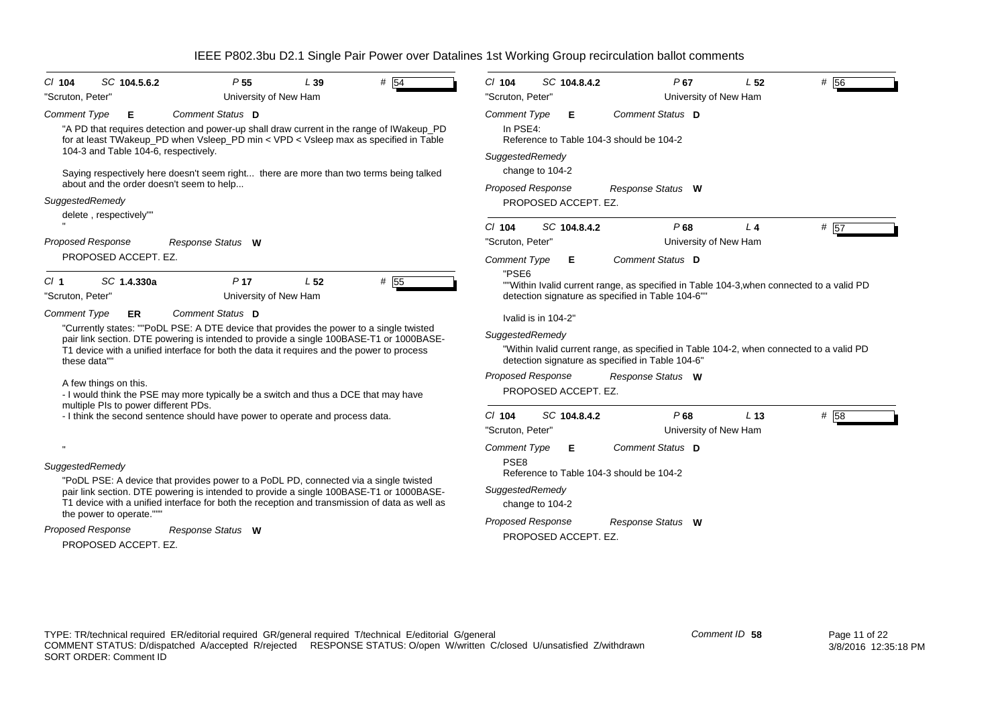| $#$ 54<br>SC 104.5.6.2<br>P <sub>55</sub><br>$CI$ 104<br>L39                                                                                                                                                            | # 56<br>$Cl$ 104<br>$P$ 67<br>L <sub>52</sub><br>SC 104.8.4.2                                                                               |
|-------------------------------------------------------------------------------------------------------------------------------------------------------------------------------------------------------------------------|---------------------------------------------------------------------------------------------------------------------------------------------|
| "Scruton, Peter"<br>University of New Ham                                                                                                                                                                               | University of New Ham<br>"Scruton, Peter"                                                                                                   |
| Comment Status D<br><b>Comment Type</b><br>Е                                                                                                                                                                            | Comment Status D<br><b>Comment Type</b><br>Е                                                                                                |
| "A PD that requires detection and power-up shall draw current in the range of IWakeup_PD<br>for at least TWakeup_PD when Vsleep_PD min < VPD < Vsleep max as specified in Table<br>104-3 and Table 104-6, respectively. | In PSE4:<br>Reference to Table 104-3 should be 104-2                                                                                        |
|                                                                                                                                                                                                                         | SuggestedRemedy                                                                                                                             |
| Saying respectively here doesn't seem right there are more than two terms being talked                                                                                                                                  | change to 104-2                                                                                                                             |
| about and the order doesn't seem to help                                                                                                                                                                                | <b>Proposed Response</b><br>Response Status W                                                                                               |
| SuggestedRemedy                                                                                                                                                                                                         | PROPOSED ACCEPT. EZ.                                                                                                                        |
| delete, respectively""                                                                                                                                                                                                  |                                                                                                                                             |
|                                                                                                                                                                                                                         | SC 104.8.4.2<br>P68<br># 57<br>$Cl$ 104<br>L <sub>4</sub>                                                                                   |
| <b>Proposed Response</b><br>Response Status W                                                                                                                                                                           | University of New Ham<br>"Scruton, Peter"                                                                                                   |
| PROPOSED ACCEPT. EZ.                                                                                                                                                                                                    | Comment Status D<br><b>Comment Type</b><br>Е                                                                                                |
| P <sub>17</sub><br>L <sub>52</sub><br># 55<br>Cl <sub>1</sub><br>SC 1.4.330a                                                                                                                                            | "PSE6<br>""Within Ivalid current range, as specified in Table 104-3, when connected to a valid PD                                           |
| "Scruton, Peter'<br>University of New Ham                                                                                                                                                                               | detection signature as specified in Table 104-6""                                                                                           |
| <b>Comment Type</b><br>Comment Status D<br>ER                                                                                                                                                                           |                                                                                                                                             |
| "Currently states: ""PoDL PSE: A DTE device that provides the power to a single twisted                                                                                                                                 | Ivalid is in 104-2"                                                                                                                         |
| pair link section. DTE powering is intended to provide a single 100BASE-T1 or 1000BASE-                                                                                                                                 | SuggestedRemedy                                                                                                                             |
| T1 device with a unified interface for both the data it requires and the power to process<br>these data""                                                                                                               | "Within Ivalid current range, as specified in Table 104-2, when connected to a valid PD<br>detection signature as specified in Table 104-6" |
|                                                                                                                                                                                                                         | <b>Proposed Response</b><br>Response Status W                                                                                               |
| A few things on this.                                                                                                                                                                                                   | PROPOSED ACCEPT. EZ.                                                                                                                        |
| - I would think the PSE may more typically be a switch and thus a DCE that may have<br>multiple PIs to power different PDs.                                                                                             |                                                                                                                                             |
| - I think the second sentence should have power to operate and process data.                                                                                                                                            | P68<br># 58<br>$Cl$ 104<br>SC 104.8.4.2<br>L <sub>13</sub>                                                                                  |
|                                                                                                                                                                                                                         | University of New Ham<br>"Scruton, Peter"                                                                                                   |
|                                                                                                                                                                                                                         | Comment Status D<br>Comment Type<br>Е                                                                                                       |
| SuggestedRemedy                                                                                                                                                                                                         | PSE <sub>8</sub>                                                                                                                            |
| "PoDL PSE: A device that provides power to a PoDL PD, connected via a single twisted                                                                                                                                    | Reference to Table 104-3 should be 104-2                                                                                                    |
| pair link section. DTE powering is intended to provide a single 100BASE-T1 or 1000BASE-                                                                                                                                 | SuggestedRemedy                                                                                                                             |
| T1 device with a unified interface for both the reception and transmission of data as well as<br>the power to operate."""                                                                                               | change to 104-2                                                                                                                             |
|                                                                                                                                                                                                                         | <b>Proposed Response</b><br>Response Status W                                                                                               |
| Proposed Response<br>Response Status W                                                                                                                                                                                  | PROPOSED ACCEPT. EZ.                                                                                                                        |
| PROPOSED ACCEPT. EZ.                                                                                                                                                                                                    |                                                                                                                                             |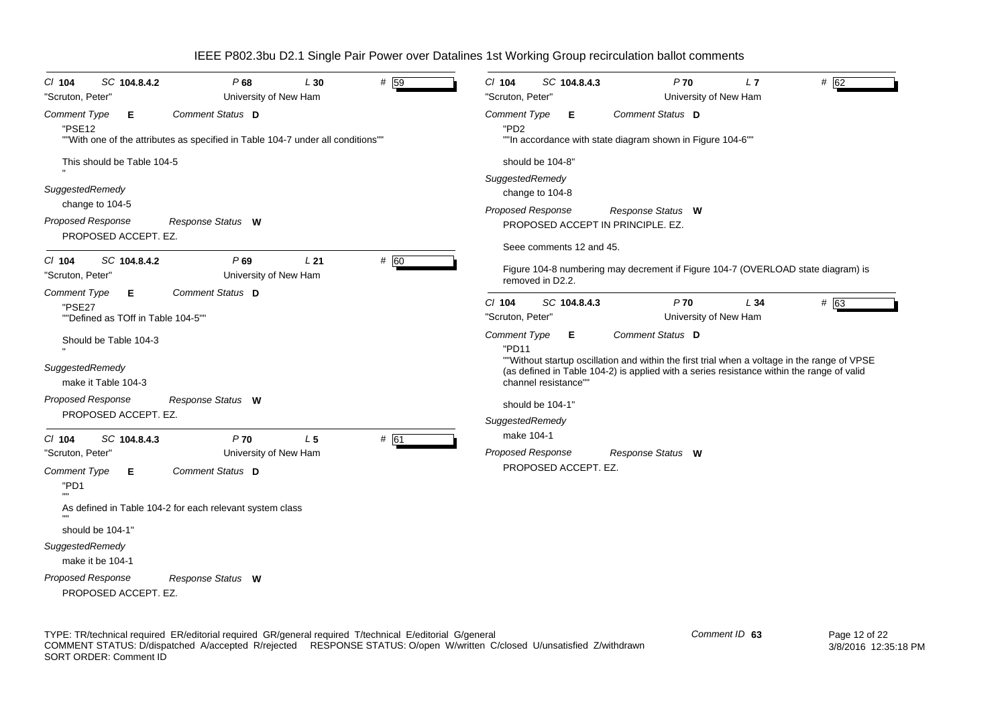*Proposed Response Cl* **104** *SC* **104.8.4.2** *P* **68** *L* **30** *#* 59*Comment Type* **E** "PSE12""With one of the attributes as specified in Table 104-7 under all conditions"" This should be Table 104-5*SuggestedRemedy* change to 104-5 PROPOSED ACCEPT. EZ.*Comment Status***D***Response Status* **W**"Scruton, Peter" University of New Ham *Proposed Response Cl* **104** *SC* **104.8.4.2** *P* **69** *L* **21** *#* 60 *Comment Type* **E** "PSE27""Defined as TOff in Table 104-5""Should be Table 104-3 *SuggestedRemedy* make it Table 104-3PROPOSED ACCEPT. EZ.*Comment Status***D***Response Status* **W**"Scruton, Peter" University of New Ham *Proposed Response Cl* **104** *SC* **104.8.4.3** *P* **70** *L* **5** *#* 61 *Comment Type* **E** "PD1"" As defined in Table 104-2 for each relevant system class should be 104-1"*SuggestedRemedy* make it be 104-1PROPOSED ACCEPT. EZ.*Comment Status***D***Response Status* **W**"Scruton, Peter" University of New Ham *Proposed Response Cl* **104** *SC* **104.8.4.3** *P* **70** *L* **7** *#* 62*Comment Type* **E** "PD2""In accordance with state diagram shown in Figure 104-6"" should be 104-8"*SuggestedRemedy* change to 104-8 PROPOSED ACCEPT IN PRINCIPLE. EZ.Seee comments 12 and 45. Figure 104-8 numbering may decrement if Figure 104-7 (OVERLOAD state diagram) is removed in D<sub>22</sub> *Comment Status***D***Response Status* **W**"Scruton, Peter" University of New Ham *Proposed Response Cl* **104** *SC* **104.8.4.3** *P* $\frac{1}{63}$ *Comment Type* **E** "PD11""Without startup oscillation and within the first trial when a voltage in the range of VPSE (as defined in Table 104-2) is applied with a series resistance within the range of valid channel resistance""should be 104-1"*SuggestedRemedy* make 104-1PROPOSED ACCEPT. EZ.*Comment Status***D***Response Status* **W**"Scruton, Peter" University of New Ham

IEEE P802.3bu D2.1 Single Pair Power over Datalines 1st Working Group recirculation ballot comments

TYPE: TR/technical required ER/editorial required GR/general required T/technical E/editorial G/general COMMENT STATUS: D/dispatched A/accepted R/rejected RESPONSE STATUS: O/open W/written C/closed U/unsatisfied Z/withdrawn SORT ORDER: Comment ID

*Comment ID* **63**

 Page 12 of 22 3/8/2016 12:35:18 PM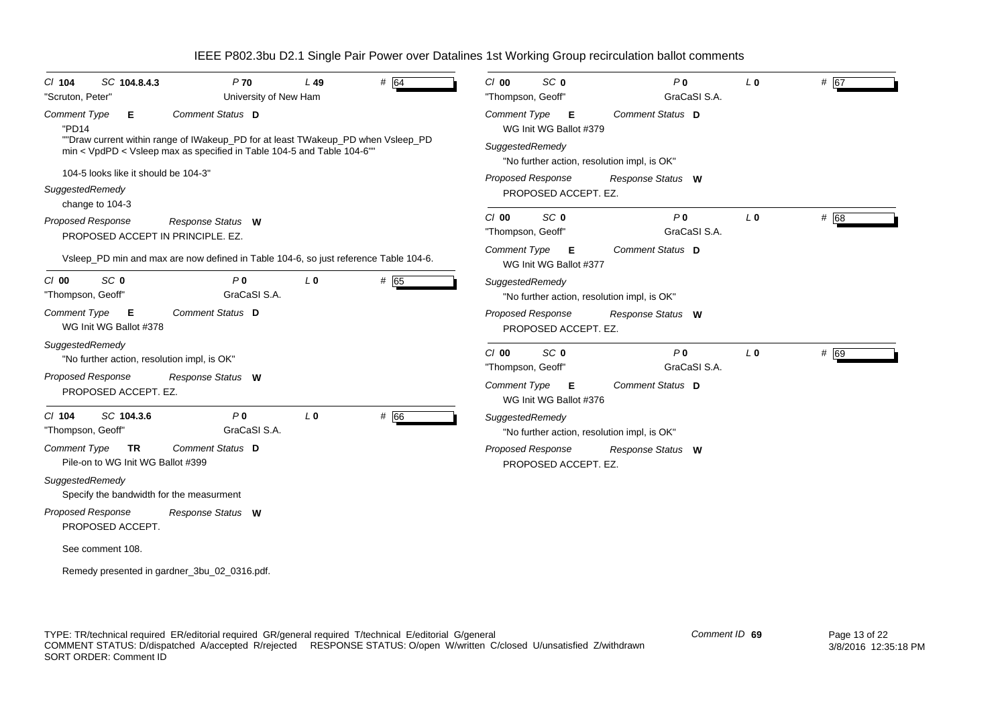| $CI$ 104                      | SC 104.8.4.3                                     | $P$ 70                                                                                                                                                    | $L$ 49         | # 64 | $Cl$ 00                      | SC <sub>0</sub>                                  | P <sub>0</sub>                              | L <sub>0</sub> | # 67 |
|-------------------------------|--------------------------------------------------|-----------------------------------------------------------------------------------------------------------------------------------------------------------|----------------|------|------------------------------|--------------------------------------------------|---------------------------------------------|----------------|------|
| "Scruton, Peter"              |                                                  | University of New Ham                                                                                                                                     |                |      | "Thompson, Geoff"            |                                                  | GraCaSI S.A.                                |                |      |
| <b>Comment Type</b><br>"PD14  | E.                                               | Comment Status D                                                                                                                                          |                |      | Comment Type                 | Е<br>WG Init WG Ballot #379                      | Comment Status D                            |                |      |
|                               |                                                  | ""Draw current within range of IWakeup_PD for at least TWakeup_PD when Vsleep_PD<br>min < VpdPD < Vsleep max as specified in Table 104-5 and Table 104-6" |                |      | SuggestedRemedy              |                                                  | "No further action, resolution impl, is OK" |                |      |
|                               | 104-5 looks like it should be 104-3"             |                                                                                                                                                           |                |      |                              | <b>Proposed Response</b>                         | Response Status W                           |                |      |
| SuggestedRemedy               | change to 104-3                                  |                                                                                                                                                           |                |      |                              | PROPOSED ACCEPT. EZ.                             |                                             |                |      |
|                               | Proposed Response                                | Response Status W<br>PROPOSED ACCEPT IN PRINCIPLE, EZ.                                                                                                    |                |      | $Cl$ 00<br>"Thompson, Geoff" | SC 0                                             | P <sub>0</sub><br>GraCaSI S.A.              | L <sub>0</sub> | # 68 |
|                               |                                                  | Vsleep_PD min and max are now defined in Table 104-6, so just reference Table 104-6.                                                                      |                |      | Comment Type                 | Е<br>WG Init WG Ballot #377                      | Comment Status D                            |                |      |
| C/00<br>"Thompson, Geoff'     | SC <sub>0</sub>                                  | P <sub>0</sub><br>GraCaSI S.A.                                                                                                                            | L <sub>0</sub> | # 65 | SuggestedRemedy              |                                                  | "No further action, resolution impl, is OK" |                |      |
| <b>Comment Type</b>           | Е<br>WG Init WG Ballot #378                      | Comment Status D                                                                                                                                          |                |      |                              | <b>Proposed Response</b><br>PROPOSED ACCEPT. EZ. | Response Status W                           |                |      |
| SuggestedRemedy               | "No further action, resolution impl, is OK"      |                                                                                                                                                           |                |      | $Cl$ 00<br>"Thompson, Geoff" | SC <sub>0</sub>                                  | P <sub>0</sub><br>GraCaSI S.A.              | L <sub>0</sub> | # 69 |
|                               | <b>Proposed Response</b><br>PROPOSED ACCEPT. EZ. | Response Status W                                                                                                                                         |                |      | Comment Type                 | Е<br>WG Init WG Ballot #376                      | Comment Status D                            |                |      |
| $Cl$ 104<br>"Thompson, Geoff" | SC 104.3.6                                       | P <sub>0</sub><br>GraCaSI S.A.                                                                                                                            | L <sub>0</sub> | # 66 | SuggestedRemedy              |                                                  | "No further action, resolution impl, is OK" |                |      |
| <b>Comment Type</b>           | <b>TR</b><br>Pile-on to WG Init WG Ballot #399   | Comment Status D                                                                                                                                          |                |      |                              | Proposed Response<br>PROPOSED ACCEPT. EZ.        | Response Status W                           |                |      |
| SuggestedRemedy               |                                                  | Specify the bandwidth for the measurment                                                                                                                  |                |      |                              |                                                  |                                             |                |      |
|                               | <b>Proposed Response</b><br>PROPOSED ACCEPT.     | Response Status W                                                                                                                                         |                |      |                              |                                                  |                                             |                |      |
|                               | See comment 108.                                 |                                                                                                                                                           |                |      |                              |                                                  |                                             |                |      |
|                               |                                                  | Remedy presented in gardner_3bu_02_0316.pdf.                                                                                                              |                |      |                              |                                                  |                                             |                |      |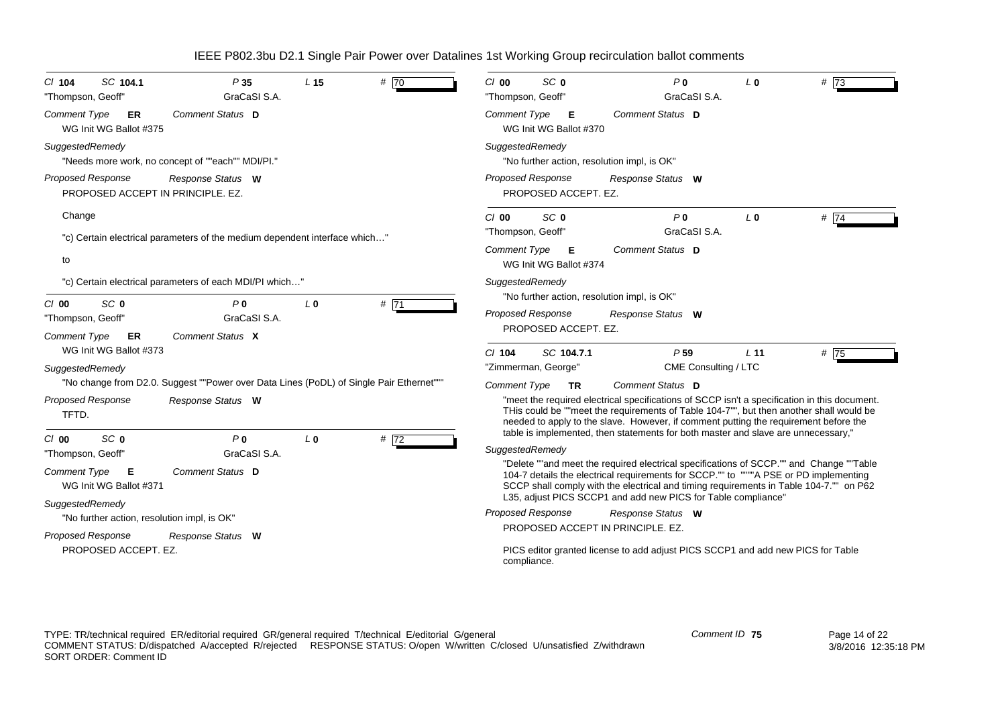| SC 104.1                                                                                                                                                                                                                                                                                                                               | SC <sub>0</sub>                                                                                                                                                                                                                                                                                                                                                                                                                                                                                                                                                                                                                      |
|----------------------------------------------------------------------------------------------------------------------------------------------------------------------------------------------------------------------------------------------------------------------------------------------------------------------------------------|--------------------------------------------------------------------------------------------------------------------------------------------------------------------------------------------------------------------------------------------------------------------------------------------------------------------------------------------------------------------------------------------------------------------------------------------------------------------------------------------------------------------------------------------------------------------------------------------------------------------------------------|
| # 70                                                                                                                                                                                                                                                                                                                                   | P <sub>0</sub>                                                                                                                                                                                                                                                                                                                                                                                                                                                                                                                                                                                                                       |
| P35                                                                                                                                                                                                                                                                                                                                    | #73                                                                                                                                                                                                                                                                                                                                                                                                                                                                                                                                                                                                                                  |
| L <sub>15</sub>                                                                                                                                                                                                                                                                                                                        | C/00                                                                                                                                                                                                                                                                                                                                                                                                                                                                                                                                                                                                                                 |
| $Cl$ 104                                                                                                                                                                                                                                                                                                                               | L <sub>0</sub>                                                                                                                                                                                                                                                                                                                                                                                                                                                                                                                                                                                                                       |
| GraCaSI S.A.                                                                                                                                                                                                                                                                                                                           | GraCaSI S.A.                                                                                                                                                                                                                                                                                                                                                                                                                                                                                                                                                                                                                         |
| "Thompson, Geoff"                                                                                                                                                                                                                                                                                                                      | "Thompson, Geoff"                                                                                                                                                                                                                                                                                                                                                                                                                                                                                                                                                                                                                    |
| Comment Status D                                                                                                                                                                                                                                                                                                                       | Comment Status D                                                                                                                                                                                                                                                                                                                                                                                                                                                                                                                                                                                                                     |
| <b>Comment Type</b>                                                                                                                                                                                                                                                                                                                    | Comment Type                                                                                                                                                                                                                                                                                                                                                                                                                                                                                                                                                                                                                         |
| ER                                                                                                                                                                                                                                                                                                                                     | Е                                                                                                                                                                                                                                                                                                                                                                                                                                                                                                                                                                                                                                    |
| WG Init WG Ballot #375                                                                                                                                                                                                                                                                                                                 | WG Init WG Ballot #370                                                                                                                                                                                                                                                                                                                                                                                                                                                                                                                                                                                                               |
| SuggestedRemedy                                                                                                                                                                                                                                                                                                                        | SuggestedRemedy                                                                                                                                                                                                                                                                                                                                                                                                                                                                                                                                                                                                                      |
| "Needs more work, no concept of ""each"" MDI/PI."                                                                                                                                                                                                                                                                                      | "No further action, resolution impl, is OK"                                                                                                                                                                                                                                                                                                                                                                                                                                                                                                                                                                                          |
| Proposed Response                                                                                                                                                                                                                                                                                                                      | <b>Proposed Response</b>                                                                                                                                                                                                                                                                                                                                                                                                                                                                                                                                                                                                             |
| Response Status W                                                                                                                                                                                                                                                                                                                      | Response Status W                                                                                                                                                                                                                                                                                                                                                                                                                                                                                                                                                                                                                    |
| PROPOSED ACCEPT IN PRINCIPLE, EZ.                                                                                                                                                                                                                                                                                                      | PROPOSED ACCEPT. EZ.                                                                                                                                                                                                                                                                                                                                                                                                                                                                                                                                                                                                                 |
| Change<br>"c) Certain electrical parameters of the medium dependent interface which"<br>to                                                                                                                                                                                                                                             | SC <sub>0</sub><br>P <sub>0</sub><br>#74<br>$C/O$ 00<br>L <sub>0</sub><br>GraCaSI S.A.<br>"Thompson, Geoff"<br>Comment Type<br>Comment Status D<br>Е<br>WG Init WG Ballot #374                                                                                                                                                                                                                                                                                                                                                                                                                                                       |
| "c) Certain electrical parameters of each MDI/PI which"<br>SC <sub>0</sub><br>#71<br>$Cl$ 00<br>P <sub>0</sub><br>L <sub>0</sub><br>GraCaSI S.A.<br>"Thompson, Geoff"<br>Comment Status X<br><b>Comment Type</b><br>ER                                                                                                                 | SuggestedRemedy<br>"No further action, resolution impl, is OK"<br><b>Proposed Response</b><br>Response Status W<br>PROPOSED ACCEPT. EZ.                                                                                                                                                                                                                                                                                                                                                                                                                                                                                              |
| WG Init WG Ballot #373<br>SuggestedRemedy<br>"No change from D2.0. Suggest ""Power over Data Lines (PoDL) of Single Pair Ethernet"""<br><b>Proposed Response</b><br>Response Status W<br>TFTD.                                                                                                                                         | P <sub>59</sub><br># 75<br>SC 104.7.1<br>L <sub>11</sub><br>$CI$ 104<br>CME Consulting / LTC<br>"Zimmerman, George"<br><b>Comment Type</b><br>Comment Status D<br><b>TR</b><br>"meet the required electrical specifications of SCCP isn't a specification in this document.<br>THis could be ""meet the requirements of Table 104-7"", but then another shall would be<br>needed to apply to the slave. However, if comment putting the requirement before the                                                                                                                                                                       |
| SC <sub>0</sub><br>P <sub>0</sub><br>L <sub>0</sub><br># $\overline{72}$<br>$Cl$ 00<br>GraCaSI S.A.<br>"Thompson, Geoff"<br><b>Comment Type</b><br>Comment Status D<br>E<br>WG Init WG Ballot #371<br>SuggestedRemedy<br>"No further action, resolution impl, is OK"<br>Proposed Response<br>Response Status W<br>PROPOSED ACCEPT. EZ. | table is implemented, then statements for both master and slave are unnecessary,"<br>SuggestedRemedy<br>"Delete ""and meet the required electrical specifications of SCCP."" and Change ""Table<br>104-7 details the electrical requirements for SCCP."" to """"A PSE or PD implementing<br>SCCP shall comply with the electrical and timing requirements in Table 104-7."" on P62<br>L35, adjust PICS SCCP1 and add new PICS for Table compliance"<br>Proposed Response<br>Response Status W<br>PROPOSED ACCEPT IN PRINCIPLE, EZ.<br>PICS editor granted license to add adjust PICS SCCP1 and add new PICS for Table<br>compliance. |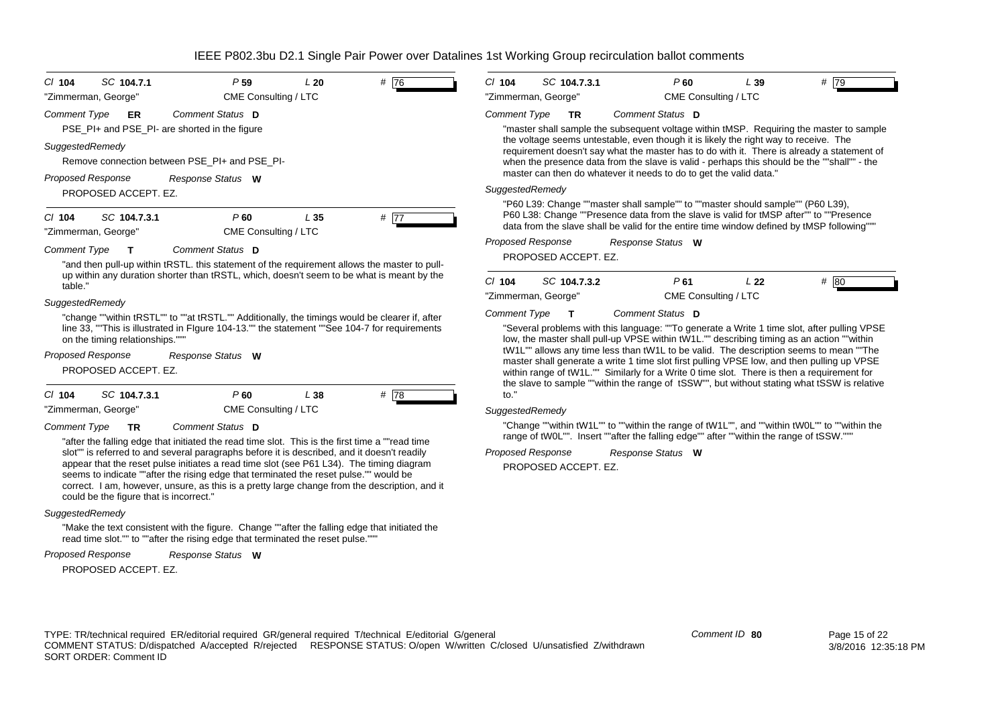| SC 104.7.1<br>P <sub>59</sub><br>L20<br>$Cl$ 104                                                                                                                                                                                                                                                                                                                                                                             | #76  | $Cl$ 104                 | SC 104.7.3.1         |                   | $P$ 60                                                                                  | L39 | #79                                                                                                                                                                                       |
|------------------------------------------------------------------------------------------------------------------------------------------------------------------------------------------------------------------------------------------------------------------------------------------------------------------------------------------------------------------------------------------------------------------------------|------|--------------------------|----------------------|-------------------|-----------------------------------------------------------------------------------------|-----|-------------------------------------------------------------------------------------------------------------------------------------------------------------------------------------------|
| CME Consulting / LTC<br>"Zimmerman, George"                                                                                                                                                                                                                                                                                                                                                                                  |      | "Zimmerman, George"      |                      |                   | CME Consulting / LTC                                                                    |     |                                                                                                                                                                                           |
| Comment Status D<br><b>Comment Type</b><br>ER<br>PSE_PI+ and PSE_PI- are shorted in the figure                                                                                                                                                                                                                                                                                                                               |      | <b>Comment Type</b>      | <b>TR</b>            | Comment Status D  |                                                                                         |     | "master shall sample the subsequent voltage within tMSP. Requiring the master to sample                                                                                                   |
| SuggestedRemedy<br>Remove connection between PSE PI+ and PSE PI-                                                                                                                                                                                                                                                                                                                                                             |      |                          |                      |                   | the voltage seems untestable, even though it is likely the right way to receive. The    |     | requirement doesn't say what the master has to do with it. There is already a statement of<br>when the presence data from the slave is valid - perhaps this should be the ""shall"" - the |
| <b>Proposed Response</b><br>Response Status W                                                                                                                                                                                                                                                                                                                                                                                |      |                          |                      |                   | master can then do whatever it needs to do to get the valid data."                      |     |                                                                                                                                                                                           |
| PROPOSED ACCEPT. EZ.                                                                                                                                                                                                                                                                                                                                                                                                         |      | SuggestedRemedy          |                      |                   |                                                                                         |     |                                                                                                                                                                                           |
| SC 104.7.3.1<br>P60<br>L <sub>35</sub><br>$CI$ 104<br>"Zimmerman, George"<br>CME Consulting / LTC                                                                                                                                                                                                                                                                                                                            | # 77 |                          |                      |                   | "P60 L39: Change ""master shall sample"" to ""master should sample"" (P60 L39),         |     | P60 L38: Change ""Presence data from the slave is valid for tMSP after"" to ""Presence<br>data from the slave shall be valid for the entire time window defined by tMSP following""       |
| <b>Comment Type</b><br>Comment Status D<br>т                                                                                                                                                                                                                                                                                                                                                                                 |      | <b>Proposed Response</b> |                      | Response Status W |                                                                                         |     |                                                                                                                                                                                           |
| "and then pull-up within tRSTL. this statement of the requirement allows the master to pull-                                                                                                                                                                                                                                                                                                                                 |      |                          | PROPOSED ACCEPT. EZ. |                   |                                                                                         |     |                                                                                                                                                                                           |
| up within any duration shorter than tRSTL, which, doesn't seem to be what is meant by the<br>table.                                                                                                                                                                                                                                                                                                                          |      | $Cl$ 104                 | SC 104.7.3.2         |                   | P61                                                                                     | L22 | # 80                                                                                                                                                                                      |
| SuggestedRemedy                                                                                                                                                                                                                                                                                                                                                                                                              |      | "Zimmerman, George"      |                      |                   | CME Consulting / LTC                                                                    |     |                                                                                                                                                                                           |
| "change ""within tRSTL"" to ""at tRSTL."" Additionally, the timings would be clearer if, after                                                                                                                                                                                                                                                                                                                               |      | <b>Comment Type</b>      |                      | Comment Status D  |                                                                                         |     |                                                                                                                                                                                           |
| line 33, "This is illustrated in Flgure 104-13."" the statement ""See 104-7 for requirements<br>on the timing relationships."""                                                                                                                                                                                                                                                                                              |      |                          |                      |                   |                                                                                         |     | "Several problems with this language: ""To generate a Write 1 time slot, after pulling VPSE<br>low, the master shall pull-up VPSE within tW1L."" describing timing as an action ""within  |
| <b>Proposed Response</b><br>Response Status W                                                                                                                                                                                                                                                                                                                                                                                |      |                          |                      |                   |                                                                                         |     | tW1L"" allows any time less than tW1L to be valid. The description seems to mean ""The<br>master shall generate a write 1 time slot first pulling VPSE low, and then pulling up VPSE      |
| PROPOSED ACCEPT. EZ.                                                                                                                                                                                                                                                                                                                                                                                                         |      |                          |                      |                   |                                                                                         |     | within range of tW1L."" Similarly for a Write 0 time slot. There is then a requirement for                                                                                                |
| SC 104.7.3.1<br>C/104<br>P60<br>L 38                                                                                                                                                                                                                                                                                                                                                                                         | #78  | $\mathsf{to}$ ."         |                      |                   |                                                                                         |     | the slave to sample ""within the range of tSSW"", but without stating what tSSW is relative                                                                                               |
| CME Consulting / LTC<br>"Zimmerman, George"                                                                                                                                                                                                                                                                                                                                                                                  |      | SuggestedRemedy          |                      |                   |                                                                                         |     |                                                                                                                                                                                           |
| Comment Status D<br><b>Comment Type</b><br>TR<br>"after the falling edge that initiated the read time slot. This is the first time a ""read time"                                                                                                                                                                                                                                                                            |      |                          |                      |                   | range of tW0L"". Insert ""after the falling edge"" after ""within the range of tSSW.""" |     | "Change ""within tW1L"" to ""within the range of tW1L"", and ""within tW0L"" to ""within the                                                                                              |
| slot"" is referred to and several paragraphs before it is described, and it doesn't readily<br>appear that the reset pulse initiates a read time slot (see P61 L34). The timing diagram<br>seems to indicate ""after the rising edge that terminated the reset pulse."" would be<br>correct. I am, however, unsure, as this is a pretty large change from the description, and it<br>could be the figure that is incorrect." |      | Proposed Response        | PROPOSED ACCEPT. EZ. | Response Status W |                                                                                         |     |                                                                                                                                                                                           |
| SuggestedRemedy                                                                                                                                                                                                                                                                                                                                                                                                              |      |                          |                      |                   |                                                                                         |     |                                                                                                                                                                                           |
| "Make the text consistent with the figure. Change ""after the falling edge that initiated the                                                                                                                                                                                                                                                                                                                                |      |                          |                      |                   |                                                                                         |     |                                                                                                                                                                                           |

read time slot."" to ""after the rising edge that terminated the reset pulse."""

| Proposed Response | Response Status | W |
|-------------------|-----------------|---|
|-------------------|-----------------|---|

PROPOSED ACCEPT. EZ.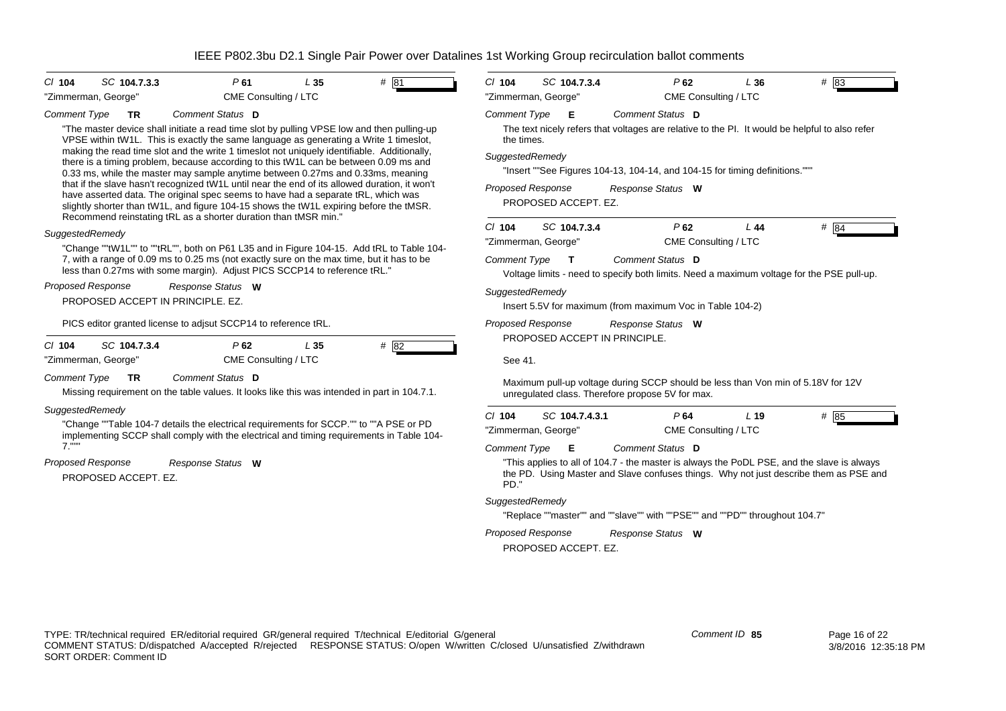| # 81<br>SC 104.7.3.3<br>P61<br>L <sub>35</sub><br>CI 104                                                                                                                                                                                                                                                                                        | SC 104.7.3.4<br>$#$ 83<br>$CI$ 104<br>$P$ 62<br>L36                                                                                                                                         |
|-------------------------------------------------------------------------------------------------------------------------------------------------------------------------------------------------------------------------------------------------------------------------------------------------------------------------------------------------|---------------------------------------------------------------------------------------------------------------------------------------------------------------------------------------------|
| "Zimmerman, George"<br>CME Consulting / LTC                                                                                                                                                                                                                                                                                                     | CME Consulting / LTC<br>"Zimmerman, George"                                                                                                                                                 |
| Comment Type<br>Comment Status D<br><b>TR</b>                                                                                                                                                                                                                                                                                                   | <b>Comment Type</b><br>E<br>Comment Status D                                                                                                                                                |
| "The master device shall initiate a read time slot by pulling VPSE low and then pulling-up<br>VPSE within tW1L. This is exactly the same language as generating a Write 1 timeslot,<br>making the read time slot and the write 1 timeslot not uniquely identifiable. Additionally,                                                              | The text nicely refers that voltages are relative to the PI. It would be helpful to also refer<br>the times.<br>SuggestedRemedy                                                             |
| there is a timing problem, because according to this tW1L can be between 0.09 ms and<br>0.33 ms, while the master may sample anytime between 0.27ms and 0.33ms, meaning                                                                                                                                                                         | "Insert ""See Figures 104-13, 104-14, and 104-15 for timing definitions."""                                                                                                                 |
| that if the slave hasn't recognized tW1L until near the end of its allowed duration, it won't<br>have asserted data. The original spec seems to have had a separate tRL, which was<br>slightly shorter than tW1L, and figure 104-15 shows the tW1L expiring before the tMSR.<br>Recommend reinstating tRL as a shorter duration than tMSR min." | <b>Proposed Response</b><br>Response Status W<br>PROPOSED ACCEPT. EZ.                                                                                                                       |
| SuggestedRemedy                                                                                                                                                                                                                                                                                                                                 | $P$ 62<br># 84<br>$Cl$ 104<br>SC 104.7.3.4<br>L44<br>CME Consulting / LTC<br>"Zimmerman, George"                                                                                            |
| "Change ""tW1L"" to ""tRL"", both on P61 L35 and in Figure 104-15. Add tRL to Table 104-<br>7, with a range of 0.09 ms to 0.25 ms (not exactly sure on the max time, but it has to be<br>less than 0.27ms with some margin). Adjust PICS SCCP14 to reference tRL."                                                                              | <b>Comment Status D</b><br>Comment Type<br>$\mathbf{T}$<br>Voltage limits - need to specify both limits. Need a maximum voltage for the PSE pull-up.                                        |
| Proposed Response<br>Response Status W<br>PROPOSED ACCEPT IN PRINCIPLE, EZ.                                                                                                                                                                                                                                                                     | SuggestedRemedy<br>Insert 5.5V for maximum (from maximum Voc in Table 104-2)                                                                                                                |
| PICS editor granted license to adjsut SCCP14 to reference tRL.                                                                                                                                                                                                                                                                                  | Proposed Response<br>Response Status W                                                                                                                                                      |
| #82<br>SC 104.7.3.4<br>P62<br>L <sub>35</sub><br>CI 104                                                                                                                                                                                                                                                                                         | PROPOSED ACCEPT IN PRINCIPLE.                                                                                                                                                               |
| CME Consulting / LTC<br>"Zimmerman, George"                                                                                                                                                                                                                                                                                                     | See 41.                                                                                                                                                                                     |
| Comment Type<br>Comment Status D<br><b>TR</b><br>Missing requirement on the table values. It looks like this was intended in part in 104.7.1.                                                                                                                                                                                                   | Maximum pull-up voltage during SCCP should be less than Von min of 5.18V for 12V<br>unregulated class. Therefore propose 5V for max.                                                        |
| SuggestedRemedy                                                                                                                                                                                                                                                                                                                                 | # 85<br>$CI$ 104<br>SC 104.7.4.3.1<br>P64<br>L <sub>19</sub>                                                                                                                                |
| "Change ""Table 104-7 details the electrical requirements for SCCP."" to ""A PSE or PD<br>implementing SCCP shall comply with the electrical and timing requirements in Table 104-                                                                                                                                                              | "Zimmerman, George"<br>CME Consulting / LTC                                                                                                                                                 |
| $7.$ ""                                                                                                                                                                                                                                                                                                                                         | <b>Comment Type</b><br>Comment Status D<br>E                                                                                                                                                |
| <b>Proposed Response</b><br>Response Status W<br>PROPOSED ACCEPT. EZ.                                                                                                                                                                                                                                                                           | "This applies to all of 104.7 - the master is always the PoDL PSE, and the slave is always<br>the PD. Using Master and Slave confuses things. Why not just describe them as PSE and<br>PD." |
|                                                                                                                                                                                                                                                                                                                                                 | SuggestedRemedy                                                                                                                                                                             |
|                                                                                                                                                                                                                                                                                                                                                 | "Replace ""master"" and ""slave"" with ""PSE"" and ""PD"" throughout 104.7"                                                                                                                 |
|                                                                                                                                                                                                                                                                                                                                                 | Proposed Response<br>Response Status W<br>PROPOSED ACCEPT. EZ.                                                                                                                              |
|                                                                                                                                                                                                                                                                                                                                                 |                                                                                                                                                                                             |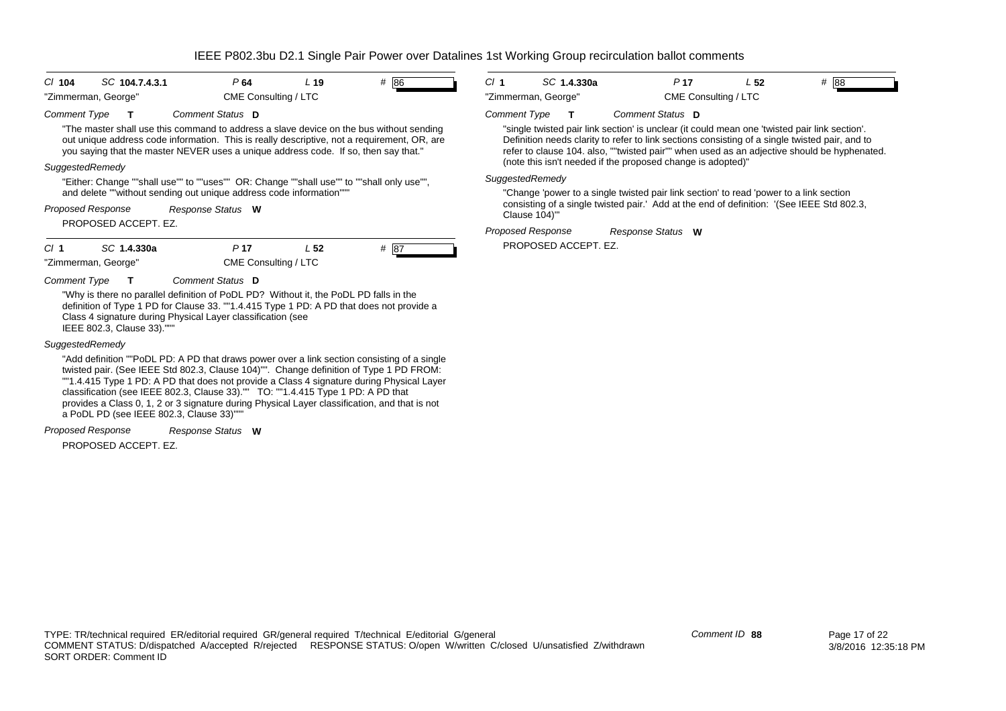| $CI$ 104                 | SC 104.7.4.3.1                          | P64                                                                                                                                                                                                                                                                                                                                                                                                                                                                     | L <sub>19</sub> | # 86 | CI <sub>1</sub>     | SC 1.4.330a          | P <sub>17</sub>                                                                                                                                                                                                                                                | L <sub>52</sub> | # 88                                                                                        |
|--------------------------|-----------------------------------------|-------------------------------------------------------------------------------------------------------------------------------------------------------------------------------------------------------------------------------------------------------------------------------------------------------------------------------------------------------------------------------------------------------------------------------------------------------------------------|-----------------|------|---------------------|----------------------|----------------------------------------------------------------------------------------------------------------------------------------------------------------------------------------------------------------------------------------------------------------|-----------------|---------------------------------------------------------------------------------------------|
|                          | "Zimmerman, George"                     | CME Consulting / LTC                                                                                                                                                                                                                                                                                                                                                                                                                                                    |                 |      |                     | "Zimmerman, George"  | CME Consulting / LTC                                                                                                                                                                                                                                           |                 |                                                                                             |
| <b>Comment Type</b>      |                                         | Comment Status D                                                                                                                                                                                                                                                                                                                                                                                                                                                        |                 |      | <b>Comment Type</b> | $\mathbf{T}$         | Comment Status D                                                                                                                                                                                                                                               |                 |                                                                                             |
|                          |                                         | "The master shall use this command to address a slave device on the bus without sending<br>out unique address code information. This is really descriptive, not a requirement, OR, are<br>you saying that the master NEVER uses a unique address code. If so, then say that."                                                                                                                                                                                           |                 |      |                     |                      | "single twisted pair link section' is unclear (it could mean one 'twisted pair link section'.<br>Definition needs clarity to refer to link sections consisting of a single twisted pair, and to<br>(note this isn't needed if the proposed change is adopted)" |                 | refer to clause 104. also, ""twisted pair"" when used as an adjective should be hyphenated. |
| SuggestedRemedy          |                                         |                                                                                                                                                                                                                                                                                                                                                                                                                                                                         |                 |      | SuggestedRemedy     |                      |                                                                                                                                                                                                                                                                |                 |                                                                                             |
|                          |                                         | "Either: Change ""shall use"" to ""uses"" OR: Change ""shall use"" to ""shall only use"",<br>and delete ""without sending out unique address code information"""                                                                                                                                                                                                                                                                                                        |                 |      |                     |                      |                                                                                                                                                                                                                                                                |                 |                                                                                             |
| <b>Proposed Response</b> |                                         | Response Status W                                                                                                                                                                                                                                                                                                                                                                                                                                                       |                 |      |                     | Clause 104)"         | "Change 'power to a single twisted pair link section' to read 'power to a link section<br>consisting of a single twisted pair.' Add at the end of definition: '(See IEEE Std 802.3,                                                                            |                 |                                                                                             |
|                          | PROPOSED ACCEPT. EZ.                    |                                                                                                                                                                                                                                                                                                                                                                                                                                                                         |                 |      |                     | Proposed Response    | Response Status W                                                                                                                                                                                                                                              |                 |                                                                                             |
| CI <sub>1</sub>          | SC 1.4.330a                             | P <sub>17</sub>                                                                                                                                                                                                                                                                                                                                                                                                                                                         | L <sub>52</sub> | # 87 |                     | PROPOSED ACCEPT. EZ. |                                                                                                                                                                                                                                                                |                 |                                                                                             |
|                          | "Zimmerman, George"                     | CME Consulting / LTC                                                                                                                                                                                                                                                                                                                                                                                                                                                    |                 |      |                     |                      |                                                                                                                                                                                                                                                                |                 |                                                                                             |
| <b>Comment Type</b>      |                                         | Comment Status D                                                                                                                                                                                                                                                                                                                                                                                                                                                        |                 |      |                     |                      |                                                                                                                                                                                                                                                                |                 |                                                                                             |
|                          | IEEE 802.3, Clause 33)."                | "Why is there no parallel definition of PoDL PD? Without it, the PoDL PD falls in the<br>definition of Type 1 PD for Clause 33. ""1.4.415 Type 1 PD: A PD that does not provide a<br>Class 4 signature during Physical Layer classification (see                                                                                                                                                                                                                        |                 |      |                     |                      |                                                                                                                                                                                                                                                                |                 |                                                                                             |
| SuggestedRemedy          |                                         |                                                                                                                                                                                                                                                                                                                                                                                                                                                                         |                 |      |                     |                      |                                                                                                                                                                                                                                                                |                 |                                                                                             |
|                          | a PoDL PD (see IEEE 802.3, Clause 33)"" | "Add definition ""PoDL PD: A PD that draws power over a link section consisting of a single<br>twisted pair. (See IEEE Std 802.3, Clause 104)"". Change definition of Type 1 PD FROM:<br>""1.4.415 Type 1 PD: A PD that does not provide a Class 4 signature during Physical Layer<br>classification (see IEEE 802.3, Clause 33)."" TO: ""1.4.415 Type 1 PD: A PD that<br>provides a Class 0, 1, 2 or 3 signature during Physical Layer classification, and that is not |                 |      |                     |                      |                                                                                                                                                                                                                                                                |                 |                                                                                             |
| <b>Proposed Response</b> |                                         | Response Status W                                                                                                                                                                                                                                                                                                                                                                                                                                                       |                 |      |                     |                      |                                                                                                                                                                                                                                                                |                 |                                                                                             |

PROPOSED ACCEPT. EZ.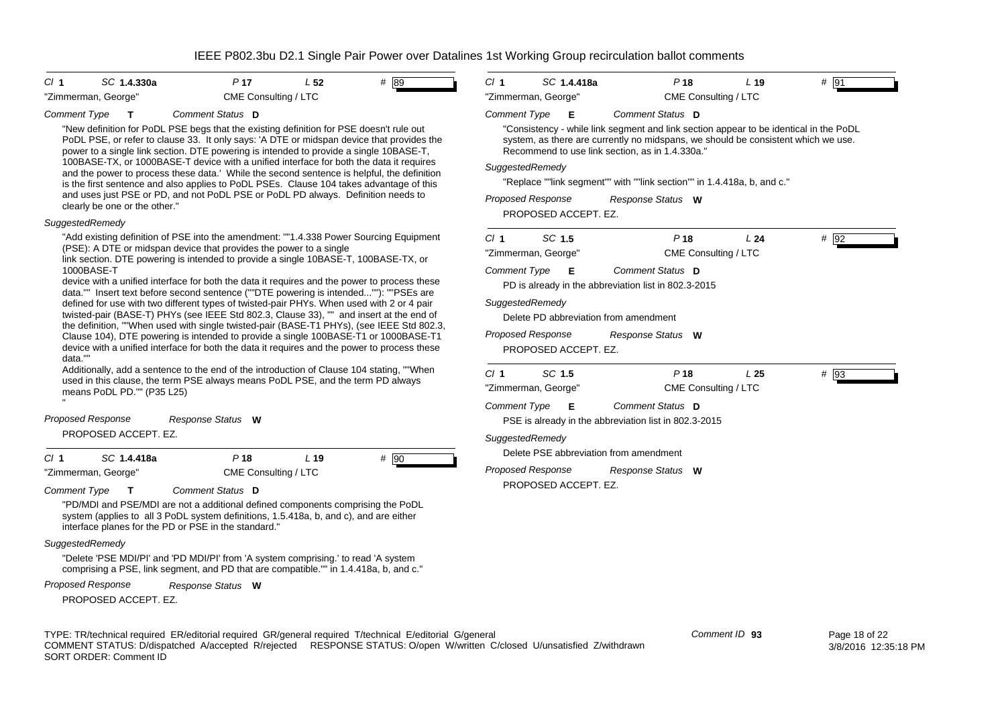| CI 1<br>SC 1.4.330a                                                                                                                                                                                                                                                                                                                                                                                                                                                                                                                                                                                                                                                                                                                                                                                                                                                                                                                                                                                                                                                                                                                                                                                                                                                                                                                                                                                                                                                                                                                                                                                                                                                                                   | P <sub>17</sub>      | L <sub>52</sub> | # 89 | Cl <sub>1</sub>                                                                                     | SC 1.4.418a                                                                                                                                     | P <sub>18</sub>                                                                                                                                                                                                                                                                                                                                                                                                                                                                                                                        | L <sub>19</sub> | $#$ 91 |  |
|-------------------------------------------------------------------------------------------------------------------------------------------------------------------------------------------------------------------------------------------------------------------------------------------------------------------------------------------------------------------------------------------------------------------------------------------------------------------------------------------------------------------------------------------------------------------------------------------------------------------------------------------------------------------------------------------------------------------------------------------------------------------------------------------------------------------------------------------------------------------------------------------------------------------------------------------------------------------------------------------------------------------------------------------------------------------------------------------------------------------------------------------------------------------------------------------------------------------------------------------------------------------------------------------------------------------------------------------------------------------------------------------------------------------------------------------------------------------------------------------------------------------------------------------------------------------------------------------------------------------------------------------------------------------------------------------------------|----------------------|-----------------|------|-----------------------------------------------------------------------------------------------------|-------------------------------------------------------------------------------------------------------------------------------------------------|----------------------------------------------------------------------------------------------------------------------------------------------------------------------------------------------------------------------------------------------------------------------------------------------------------------------------------------------------------------------------------------------------------------------------------------------------------------------------------------------------------------------------------------|-----------------|--------|--|
| "Zimmerman, George"                                                                                                                                                                                                                                                                                                                                                                                                                                                                                                                                                                                                                                                                                                                                                                                                                                                                                                                                                                                                                                                                                                                                                                                                                                                                                                                                                                                                                                                                                                                                                                                                                                                                                   | CME Consulting / LTC |                 |      |                                                                                                     | "Zimmerman, George"                                                                                                                             | CME Consulting / LTC                                                                                                                                                                                                                                                                                                                                                                                                                                                                                                                   |                 |        |  |
| Comment Type<br>$\mathbf T$<br>"New definition for PoDL PSE begs that the existing definition for PSE doesn't rule out<br>PoDL PSE, or refer to clause 33. It only says: 'A DTE or midspan device that provides the<br>power to a single link section. DTE powering is intended to provide a single 10BASE-T,<br>100BASE-TX, or 1000BASE-T device with a unified interface for both the data it requires<br>and the power to process these data.' While the second sentence is helpful, the definition<br>is the first sentence and also applies to PoDL PSEs. Clause 104 takes advantage of this<br>and uses just PSE or PD, and not PoDL PSE or PoDL PD always. Definition needs to<br>clearly be one or the other."<br><b>SuggestedRemedy</b><br>"Add existing definition of PSE into the amendment: ""1.4.338 Power Sourcing Equipment<br>(PSE): A DTE or midspan device that provides the power to a single<br>link section. DTE powering is intended to provide a single 10BASE-T, 100BASE-TX, or<br>1000BASE-T<br>device with a unified interface for both the data it requires and the power to process these<br>data."" Insert text before second sentence (""DTE powering is intended""): ""PSEs are<br>defined for use with two different types of twisted-pair PHYs. When used with 2 or 4 pair<br>twisted-pair (BASE-T) PHYs (see IEEE Std 802.3, Clause 33), "" and insert at the end of<br>the definition, ""When used with single twisted-pair (BASE-T1 PHYs), (see IEEE Std 802.3,<br>Clause 104), DTE powering is intended to provide a single 100BASE-T1 or 1000BASE-T1<br>device with a unified interface for both the data it requires and the power to process these<br>data."" | Comment Status D     |                 |      | <b>Comment Type</b><br>SuggestedRemedy<br>Cl <sub>1</sub><br><b>Comment Type</b><br>SuggestedRemedy | Е<br><b>Proposed Response</b><br>PROPOSED ACCEPT. EZ.<br>SC 1.5<br>"Zimmerman, George"<br>Е<br><b>Proposed Response</b><br>PROPOSED ACCEPT. EZ. | Comment Status D<br>"Consistency - while link segment and link section appear to be identical in the PoDL<br>system, as there are currently no midspans, we should be consistent which we use.<br>Recommend to use link section, as in 1.4.330a."<br>"Replace ""link segment"" with ""link section"" in 1.4.418a, b, and c."<br>Response Status W<br>P <sub>18</sub><br>CME Consulting / LTC<br>Comment Status D<br>PD is already in the abbreviation list in 802.3-2015<br>Delete PD abbreviation from amendment<br>Response Status W | L24             | $#$ 92 |  |
| Additionally, add a sentence to the end of the introduction of Clause 104 stating, ""When<br>used in this clause, the term PSE always means PoDL PSE, and the term PD always<br>means PoDL PD."" (P35 L25)                                                                                                                                                                                                                                                                                                                                                                                                                                                                                                                                                                                                                                                                                                                                                                                                                                                                                                                                                                                                                                                                                                                                                                                                                                                                                                                                                                                                                                                                                            |                      |                 |      | Cl <sub>1</sub><br><b>Comment Type</b>                                                              | SC 1.5<br>"Zimmerman, George"<br>Е                                                                                                              | P <sub>18</sub><br>CME Consulting / LTC<br>Comment Status D                                                                                                                                                                                                                                                                                                                                                                                                                                                                            | L <sub>25</sub> | $#$ 93 |  |
| Proposed Response                                                                                                                                                                                                                                                                                                                                                                                                                                                                                                                                                                                                                                                                                                                                                                                                                                                                                                                                                                                                                                                                                                                                                                                                                                                                                                                                                                                                                                                                                                                                                                                                                                                                                     | Response Status W    |                 |      |                                                                                                     |                                                                                                                                                 | PSE is already in the abbreviation list in 802.3-2015                                                                                                                                                                                                                                                                                                                                                                                                                                                                                  |                 |        |  |
| PROPOSED ACCEPT. EZ.                                                                                                                                                                                                                                                                                                                                                                                                                                                                                                                                                                                                                                                                                                                                                                                                                                                                                                                                                                                                                                                                                                                                                                                                                                                                                                                                                                                                                                                                                                                                                                                                                                                                                  |                      |                 |      | SuggestedRemedy                                                                                     |                                                                                                                                                 |                                                                                                                                                                                                                                                                                                                                                                                                                                                                                                                                        |                 |        |  |
| SC 1.4.418a<br>CI 1                                                                                                                                                                                                                                                                                                                                                                                                                                                                                                                                                                                                                                                                                                                                                                                                                                                                                                                                                                                                                                                                                                                                                                                                                                                                                                                                                                                                                                                                                                                                                                                                                                                                                   | $P$ 18               | L <sub>19</sub> | # 90 |                                                                                                     |                                                                                                                                                 | Delete PSE abbreviation from amendment                                                                                                                                                                                                                                                                                                                                                                                                                                                                                                 |                 |        |  |
| "Zimmerman, George"                                                                                                                                                                                                                                                                                                                                                                                                                                                                                                                                                                                                                                                                                                                                                                                                                                                                                                                                                                                                                                                                                                                                                                                                                                                                                                                                                                                                                                                                                                                                                                                                                                                                                   | CME Consulting / LTC |                 |      |                                                                                                     | <b>Proposed Response</b>                                                                                                                        | Response Status W                                                                                                                                                                                                                                                                                                                                                                                                                                                                                                                      |                 |        |  |
| Comment Type                                                                                                                                                                                                                                                                                                                                                                                                                                                                                                                                                                                                                                                                                                                                                                                                                                                                                                                                                                                                                                                                                                                                                                                                                                                                                                                                                                                                                                                                                                                                                                                                                                                                                          | Comment Status D     |                 |      |                                                                                                     | PROPOSED ACCEPT. EZ.                                                                                                                            |                                                                                                                                                                                                                                                                                                                                                                                                                                                                                                                                        |                 |        |  |
| "PD/MDI and PSE/MDI are not a additional defined components comprising the PoDL                                                                                                                                                                                                                                                                                                                                                                                                                                                                                                                                                                                                                                                                                                                                                                                                                                                                                                                                                                                                                                                                                                                                                                                                                                                                                                                                                                                                                                                                                                                                                                                                                       |                      |                 |      |                                                                                                     |                                                                                                                                                 |                                                                                                                                                                                                                                                                                                                                                                                                                                                                                                                                        |                 |        |  |

*SuggestedRemedy*

"Delete 'PSE MDI/PI' and 'PD MDI/PI' from 'A system comprising.' to read 'A system comprising a PSE, link segment, and PD that are compatible."" in 1.4.418a, b, and c."

system (applies to all 3 PoDL system definitions, 1.5.418a, b, and c), and are either

*Proposed Response Response Status* **W**

interface planes for the PD or PSE in the standard."

PROPOSED ACCEPT. EZ.

TYPE: TR/technical required ER/editorial required GR/general required T/technical E/editorial G/general COMMENT STATUS: D/dispatched A/accepted R/rejected RESPONSE STATUS: O/open W/written C/closed U/unsatisfied Z/withdrawn SORT ORDER: Comment ID

*Comment ID* **93**

 Page 18 of 22 3/8/2016 12:35:18 PM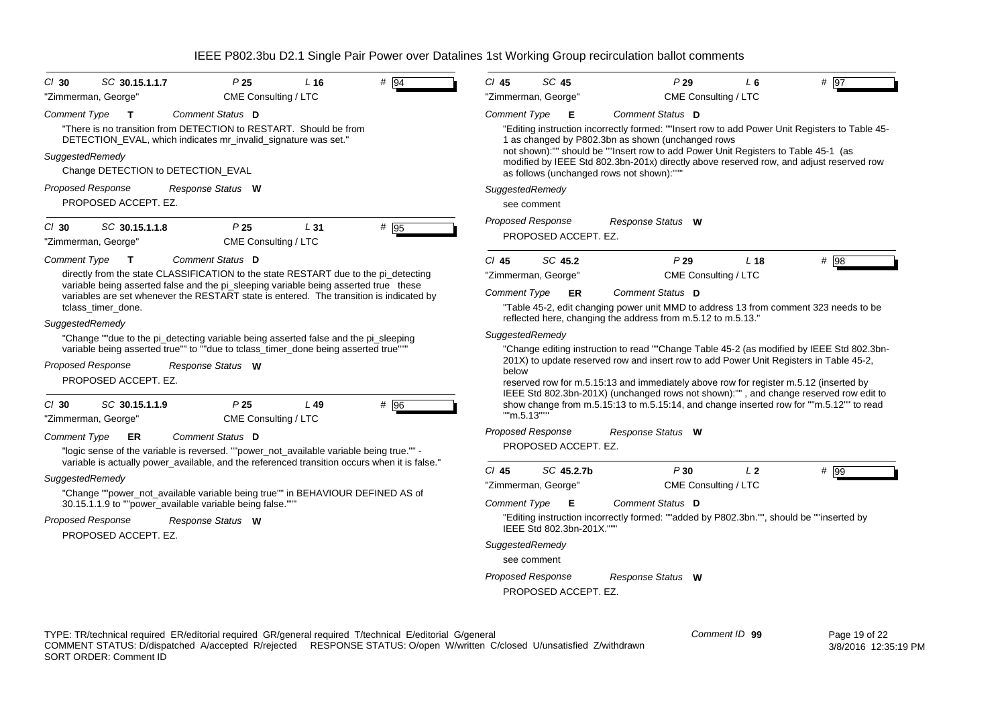| # 94<br>$Cl$ 30<br>SC 30.15.1.1.7<br>P <sub>25</sub><br>L <sub>16</sub><br>CME Consulting / LTC<br>"Zimmerman, George"                                                                                                                                              | $Cl$ 45<br>SC 45<br>P29<br>L6<br>$#$ 97<br>"Zimmerman, George"<br>CME Consulting / LTC                                                                                                                                                                                                                                                                                                                                     |
|---------------------------------------------------------------------------------------------------------------------------------------------------------------------------------------------------------------------------------------------------------------------|----------------------------------------------------------------------------------------------------------------------------------------------------------------------------------------------------------------------------------------------------------------------------------------------------------------------------------------------------------------------------------------------------------------------------|
|                                                                                                                                                                                                                                                                     |                                                                                                                                                                                                                                                                                                                                                                                                                            |
| Comment Status D<br><b>Comment Type</b><br>$\mathbf{T}$<br>"There is no transition from DETECTION to RESTART. Should be from<br>DETECTION_EVAL, which indicates mr_invalid_signature was set."<br>SuggestedRemedy<br>Change DETECTION to DETECTION_EVAL             | Comment Type<br>Comment Status D<br>E<br>"Editing instruction incorrectly formed: ""Insert row to add Power Unit Registers to Table 45-<br>1 as changed by P802.3bn as shown (unchanged rows<br>not shown):"" should be ""Insert row to add Power Unit Registers to Table 45-1 (as<br>modified by IEEE Std 802.3bn-201x) directly above reserved row, and adjust reserved row<br>as follows (unchanged rows not shown):""" |
| <b>Proposed Response</b><br>Response Status W                                                                                                                                                                                                                       | SuggestedRemedy                                                                                                                                                                                                                                                                                                                                                                                                            |
| PROPOSED ACCEPT. EZ.                                                                                                                                                                                                                                                | see comment                                                                                                                                                                                                                                                                                                                                                                                                                |
| SC 30.15.1.1.8<br>P <sub>25</sub><br># 95<br>$Cl$ 30<br>L31<br>"Zimmerman, George"<br>CME Consulting / LTC                                                                                                                                                          | <b>Proposed Response</b><br>Response Status W<br>PROPOSED ACCEPT. EZ.                                                                                                                                                                                                                                                                                                                                                      |
| <b>Comment Type</b><br>Comment Status D<br>$\mathbf{T}$                                                                                                                                                                                                             | SC 45.2<br>P29<br>$CI$ 45<br>L <sub>18</sub><br># 98                                                                                                                                                                                                                                                                                                                                                                       |
| directly from the state CLASSIFICATION to the state RESTART due to the pi_detecting                                                                                                                                                                                 | "Zimmerman, George"<br>CME Consulting / LTC                                                                                                                                                                                                                                                                                                                                                                                |
| variable being asserted false and the pi_sleeping variable being asserted true these<br>variables are set whenever the RESTART state is entered. The transition is indicated by                                                                                     | Comment Type<br>Comment Status D<br><b>ER</b>                                                                                                                                                                                                                                                                                                                                                                              |
| tclass timer done.<br>SuggestedRemedy                                                                                                                                                                                                                               | "Table 45-2, edit changing power unit MMD to address 13 from comment 323 needs to be<br>reflected here, changing the address from m.5.12 to m.5.13."                                                                                                                                                                                                                                                                       |
| "Change ""due to the pi_detecting variable being asserted false and the pi_sleeping                                                                                                                                                                                 | SuggestedRemedy                                                                                                                                                                                                                                                                                                                                                                                                            |
| variable being asserted true"" to ""due to tclass_timer_done being asserted true""<br><b>Proposed Response</b><br>Response Status W<br>PROPOSED ACCEPT. EZ.                                                                                                         | "Change editing instruction to read ""Change Table 45-2 (as modified by IEEE Std 802.3bn-<br>201X) to update reserved row and insert row to add Power Unit Registers in Table 45-2,<br>below<br>reserved row for m.5.15:13 and immediately above row for register m.5.12 (inserted by<br>IEEE Std 802.3bn-201X) (unchanged rows not shown):"", and change reserved row edit to                                             |
| SC 30.15.1.1.9<br>P <sub>25</sub><br># 96<br>$Cl$ 30<br>$L$ 49<br>"Zimmerman, George"<br>CME Consulting / LTC                                                                                                                                                       | show change from m.5.15:13 to m.5.15:14, and change inserted row for ""m.5.12"" to read<br>""m.5.13""                                                                                                                                                                                                                                                                                                                      |
| Comment Type<br><b>Comment Status</b> D<br>ER<br>"logic sense of the variable is reversed. ""power_not_available variable being true."" -                                                                                                                           | <b>Proposed Response</b><br>Response Status W<br>PROPOSED ACCEPT. EZ.                                                                                                                                                                                                                                                                                                                                                      |
| variable is actually power_available, and the referenced transition occurs when it is false."<br>SuggestedRemedy                                                                                                                                                    | $Cl$ 45<br>SC 45.2.7b<br>P30<br>L <sub>2</sub><br># 99                                                                                                                                                                                                                                                                                                                                                                     |
| "Change ""power_not_available variable being true"" in BEHAVIOUR DEFINED AS of                                                                                                                                                                                      | CME Consulting / LTC<br>"Zimmerman, George"                                                                                                                                                                                                                                                                                                                                                                                |
| 30.15.1.1.9 to ""power_available variable being false."""                                                                                                                                                                                                           | <b>Comment Type</b><br>E<br>Comment Status D                                                                                                                                                                                                                                                                                                                                                                               |
| <b>Proposed Response</b><br>Response Status W<br>PROPOSED ACCEPT. EZ.                                                                                                                                                                                               | "Editing instruction incorrectly formed: ""added by P802.3bn."", should be ""inserted by<br>IEEE Std 802.3bn-201X.""                                                                                                                                                                                                                                                                                                       |
|                                                                                                                                                                                                                                                                     | SuggestedRemedy                                                                                                                                                                                                                                                                                                                                                                                                            |
|                                                                                                                                                                                                                                                                     | see comment                                                                                                                                                                                                                                                                                                                                                                                                                |
|                                                                                                                                                                                                                                                                     | <b>Proposed Response</b><br>Response Status W<br>PROPOSED ACCEPT. EZ.                                                                                                                                                                                                                                                                                                                                                      |
| TYPE: TR/technical required ER/editorial required GR/general required T/technical E/editorial G/general<br>COMMENT STATUS: D/dispatched A/accepted R/rejected RESPONSE STATUS: O/open W/written C/closed U/unsatisfied Z/withdrawn<br><b>SORT ORDER: Comment ID</b> | Comment ID 99<br>Page 19 of 22<br>3/8/2016 12:35:19 PM                                                                                                                                                                                                                                                                                                                                                                     |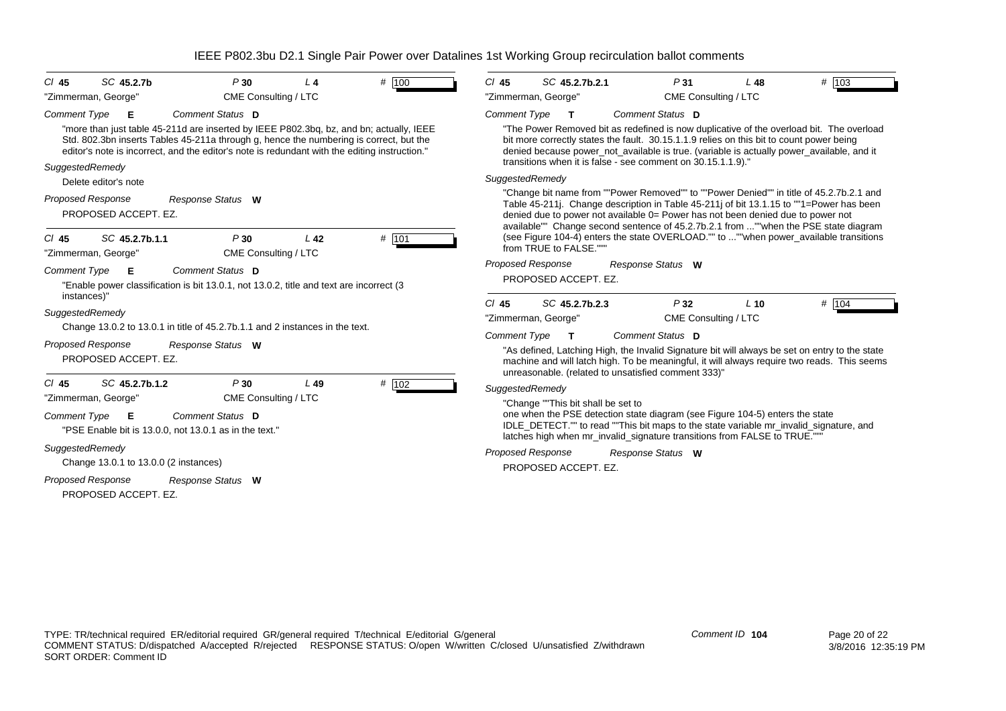| SC 45.2.7b<br>$CI$ 45<br>"Zimmerman, George"                                                                                                                                                                  | P30<br>CME Consulting / LTC | $L_4$           | # 100 | # 103<br>SC 45.2.7b.2.1<br>$CI$ 45<br>P31<br>$L$ 48<br>"Zimmerman, George"<br>CME Consulting / LTC                                                                                                                                                                                                                                                           |
|---------------------------------------------------------------------------------------------------------------------------------------------------------------------------------------------------------------|-----------------------------|-----------------|-------|--------------------------------------------------------------------------------------------------------------------------------------------------------------------------------------------------------------------------------------------------------------------------------------------------------------------------------------------------------------|
| <b>Comment Type</b><br>Е<br>"more than just table 45-211d are inserted by IEEE P802.3bq, bz, and bn; actually, IEEE<br>Std. 802.3bn inserts Tables 45-211a through g, hence the numbering is correct, but the | Comment Status D            |                 |       | <b>Comment Type</b><br>Comment Status D<br>"The Power Removed bit as redefined is now duplicative of the overload bit. The overload<br>bit more correctly states the fault. 30.15.1.1.9 relies on this bit to count power being                                                                                                                              |
| editor's note is incorrect, and the editor's note is redundant with the editing instruction."                                                                                                                 |                             |                 |       | denied because power_not_available is true. (variable is actually power_available, and it<br>transitions when it is false - see comment on 30.15.1.1.9)."                                                                                                                                                                                                    |
| SuggestedRemedy<br>Delete editor's note                                                                                                                                                                       |                             |                 |       | SuggestedRemedy                                                                                                                                                                                                                                                                                                                                              |
| <b>Proposed Response</b><br>PROPOSED ACCEPT. EZ.                                                                                                                                                              | Response Status W           |                 |       | "Change bit name from ""Power Removed"" to ""Power Denied"" in title of 45.2.7b.2.1 and<br>Table 45-211j. Change description in Table 45-211j of bit 13.1.15 to ""1=Power has been<br>denied due to power not available 0= Power has not been denied due to power not<br>available"" Change second sentence of 45.2.7b.2.1 from ""when the PSE state diagram |
| SC 45.2.7b.1.1<br>$CI$ 45<br>"Zimmerman, George"                                                                                                                                                              | P30<br>CME Consulting / LTC | L <sub>42</sub> | # 101 | (see Figure 104-4) enters the state OVERLOAD."" to ""when power_available transitions<br>from TRUE to FALSE.""                                                                                                                                                                                                                                               |
| <b>Comment Type</b><br>Е<br>"Enable power classification is bit 13.0.1, not 13.0.2, title and text are incorrect (3<br>instances)"                                                                            | Comment Status D            |                 |       | <b>Proposed Response</b><br>Response Status W<br>PROPOSED ACCEPT. EZ.<br># 104<br>SC 45.2.7b.2.3<br>P32<br>$Cl$ 45<br>$L$ 10                                                                                                                                                                                                                                 |
| SuggestedRemedy<br>Change 13.0.2 to 13.0.1 in title of 45.2.7b.1.1 and 2 instances in the text.                                                                                                               |                             |                 |       | "Zimmerman, George"<br>CME Consulting / LTC                                                                                                                                                                                                                                                                                                                  |
| <b>Proposed Response</b><br>PROPOSED ACCEPT. EZ.                                                                                                                                                              | Response Status W           |                 |       | Comment Status D<br><b>Comment Type</b><br>т<br>"As defined, Latching High, the Invalid Signature bit will always be set on entry to the state<br>machine and will latch high. To be meaningful, it will always require two reads. This seems<br>unreasonable. (related to unsatisfied comment 333)"                                                         |
| SC 45.2.7b.1.2<br>$CI$ 45<br>"Zimmerman, George"                                                                                                                                                              | P30<br>CME Consulting / LTC | $L$ 49          | # 102 | SuggestedRemedy                                                                                                                                                                                                                                                                                                                                              |
| <b>Comment Type</b><br>Е<br>"PSE Enable bit is 13.0.0, not 13.0.1 as in the text."                                                                                                                            | Comment Status D            |                 |       | "Change ""This bit shall be set to<br>one when the PSE detection state diagram (see Figure 104-5) enters the state<br>IDLE_DETECT."" to read ""This bit maps to the state variable mr_invalid_signature, and<br>latches high when mr_invalid_signature transitions from FALSE to TRUE.""                                                                     |
| SuggestedRemedy<br>Change 13.0.1 to 13.0.0 (2 instances)                                                                                                                                                      |                             |                 |       | <b>Proposed Response</b><br>Response Status W<br>PROPOSED ACCEPT. EZ.                                                                                                                                                                                                                                                                                        |
| <b>Proposed Response</b><br>PROPOSED ACCEPT. EZ.                                                                                                                                                              | Response Status W           |                 |       |                                                                                                                                                                                                                                                                                                                                                              |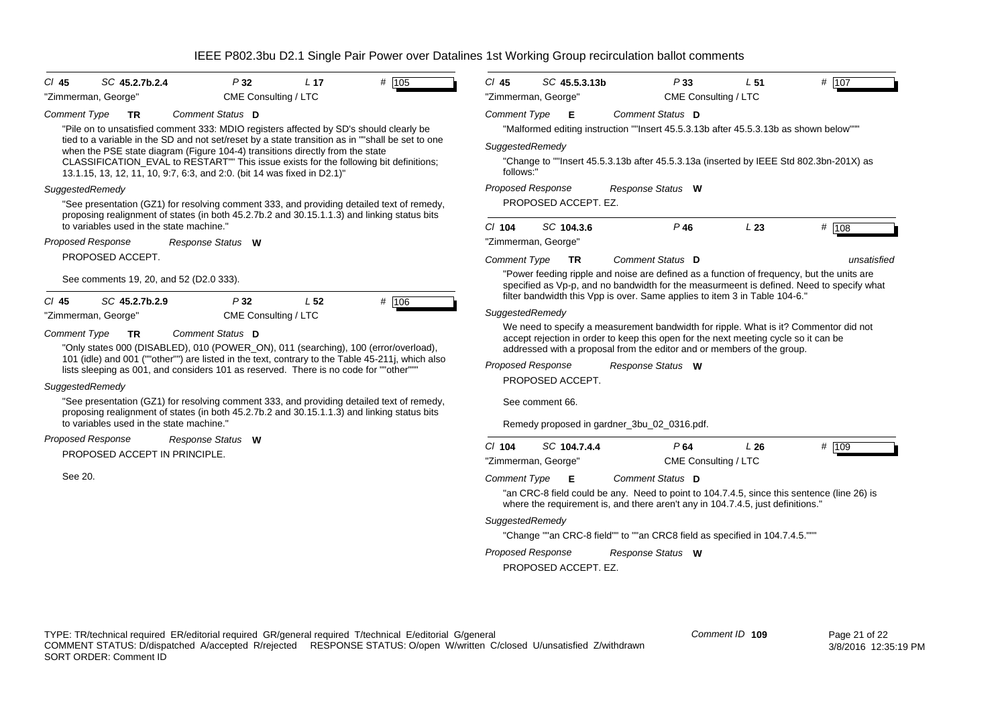| P32<br>$CI$ 45<br>SC 45.2.7b.2.4                                                                                                                                                                                                                                                                                                                                                                                                                                                                                                                                                                    | L <sub>17</sub> | $#$ 105                  | $Cl$ 45                                             | SC 45.5.3.13b                                                                                                                                                                                                                                                                                                             | P33                                                                                                                                                                                                                                                                                                   | L <sub>51</sub> | # 107       |
|-----------------------------------------------------------------------------------------------------------------------------------------------------------------------------------------------------------------------------------------------------------------------------------------------------------------------------------------------------------------------------------------------------------------------------------------------------------------------------------------------------------------------------------------------------------------------------------------------------|-----------------|--------------------------|-----------------------------------------------------|---------------------------------------------------------------------------------------------------------------------------------------------------------------------------------------------------------------------------------------------------------------------------------------------------------------------------|-------------------------------------------------------------------------------------------------------------------------------------------------------------------------------------------------------------------------------------------------------------------------------------------------------|-----------------|-------------|
| CME Consulting / LTC<br>"Zimmerman, George"                                                                                                                                                                                                                                                                                                                                                                                                                                                                                                                                                         |                 |                          |                                                     | "Zimmerman, George"                                                                                                                                                                                                                                                                                                       | CME Consulting / LTC                                                                                                                                                                                                                                                                                  |                 |             |
| Comment Status D<br><b>Comment Type</b><br><b>TR</b><br>"Pile on to unsatisfied comment 333: MDIO registers affected by SD's should clearly be<br>tied to a variable in the SD and not set/reset by a state transition as in ""shall be set to one<br>when the PSE state diagram (Figure 104-4) transitions directly from the state<br>CLASSIFICATION_EVAL to RESTART"" This issue exists for the following bit definitions;<br>13.1.15, 13, 12, 11, 10, 9.7, 6:3, and 2:0. (bit 14 was fixed in D2.1)"                                                                                             |                 |                          | <b>Comment Type</b><br>SuggestedRemedy<br>follows:" | E                                                                                                                                                                                                                                                                                                                         | Comment Status D<br>"Malformed editing instruction ""Insert 45.5.3.13b after 45.5.3.13b as shown below""<br>"Change to ""Insert 45.5.3.13b after 45.5.3.13a (inserted by IEEE Std 802.3bn-201X) as                                                                                                    |                 |             |
| SuggestedRemedy                                                                                                                                                                                                                                                                                                                                                                                                                                                                                                                                                                                     |                 |                          | <b>Proposed Response</b>                            |                                                                                                                                                                                                                                                                                                                           | Response Status W                                                                                                                                                                                                                                                                                     |                 |             |
| "See presentation (GZ1) for resolving comment 333, and providing detailed text of remedy,<br>proposing realignment of states (in both 45.2.7b.2 and 30.15.1.1.3) and linking status bits<br>to variables used in the state machine."                                                                                                                                                                                                                                                                                                                                                                |                 |                          | $CI$ 104                                            | PROPOSED ACCEPT. EZ.<br>SC 104.3.6                                                                                                                                                                                                                                                                                        | $P$ 46                                                                                                                                                                                                                                                                                                | L23             | # 108       |
| Proposed Response<br>Response Status W                                                                                                                                                                                                                                                                                                                                                                                                                                                                                                                                                              |                 |                          |                                                     | "Zimmerman, George"                                                                                                                                                                                                                                                                                                       |                                                                                                                                                                                                                                                                                                       |                 |             |
| PROPOSED ACCEPT.                                                                                                                                                                                                                                                                                                                                                                                                                                                                                                                                                                                    |                 |                          | <b>Comment Type</b>                                 | <b>TR</b>                                                                                                                                                                                                                                                                                                                 | Comment Status D                                                                                                                                                                                                                                                                                      |                 | unsatisfied |
| See comments 19, 20, and 52 (D2.0 333).                                                                                                                                                                                                                                                                                                                                                                                                                                                                                                                                                             |                 |                          |                                                     |                                                                                                                                                                                                                                                                                                                           | "Power feeding ripple and noise are defined as a function of frequency, but the units are<br>specified as Vp-p, and no bandwidth for the measurmeent is defined. Need to specify what<br>filter bandwidth this Vpp is over. Same applies to item 3 in Table 104-6."                                   |                 |             |
| SC 45.2.7b.2.9<br>P32<br>$CI$ 45<br>"Zimmerman, George"<br>CME Consulting / LTC                                                                                                                                                                                                                                                                                                                                                                                                                                                                                                                     | L <sub>52</sub> | # 106                    | SuggestedRemedy                                     |                                                                                                                                                                                                                                                                                                                           |                                                                                                                                                                                                                                                                                                       |                 |             |
| <b>Comment Type</b><br>Comment Status D<br><b>TR</b><br>"Only states 000 (DISABLED), 010 (POWER_ON), 011 (searching), 100 (error/overload),<br>101 (idle) and 001 (""other"") are listed in the text, contrary to the Table 45-211j, which also<br>lists sleeping as 001, and considers 101 as reserved. There is no code for ""other"""<br>SuggestedRemedy<br>"See presentation (GZ1) for resolving comment 333, and providing detailed text of remedy,<br>proposing realignment of states (in both 45.2.7b.2 and 30.15.1.1.3) and linking status bits<br>to variables used in the state machine." |                 | <b>Proposed Response</b> | PROPOSED ACCEPT.<br>See comment 66.                 | We need to specify a measurement bandwidth for ripple. What is it? Commentor did not<br>accept rejection in order to keep this open for the next meeting cycle so it can be<br>addressed with a proposal from the editor and or members of the group.<br>Response Status W<br>Remedy proposed in gardner_3bu_02_0316.pdf. |                                                                                                                                                                                                                                                                                                       |                 |             |
| Proposed Response<br>Response Status W<br>PROPOSED ACCEPT IN PRINCIPLE.                                                                                                                                                                                                                                                                                                                                                                                                                                                                                                                             |                 |                          | $Cl$ 104                                            | SC 104.7.4.4<br>"Zimmerman, George"                                                                                                                                                                                                                                                                                       | P64<br>CME Consulting / LTC                                                                                                                                                                                                                                                                           | L26             | # 109       |
| See 20.                                                                                                                                                                                                                                                                                                                                                                                                                                                                                                                                                                                             |                 |                          | <b>Comment Type</b><br>SuggestedRemedy              | Е<br><b>Proposed Response</b>                                                                                                                                                                                                                                                                                             | Comment Status D<br>"an CRC-8 field could be any. Need to point to 104.7.4.5, since this sentence (line 26) is<br>where the requirement is, and there aren't any in 104.7.4.5, just definitions."<br>"Change ""an CRC-8 field"" to ""an CRC8 field as specified in 104.7.4.5."""<br>Response Status W |                 |             |